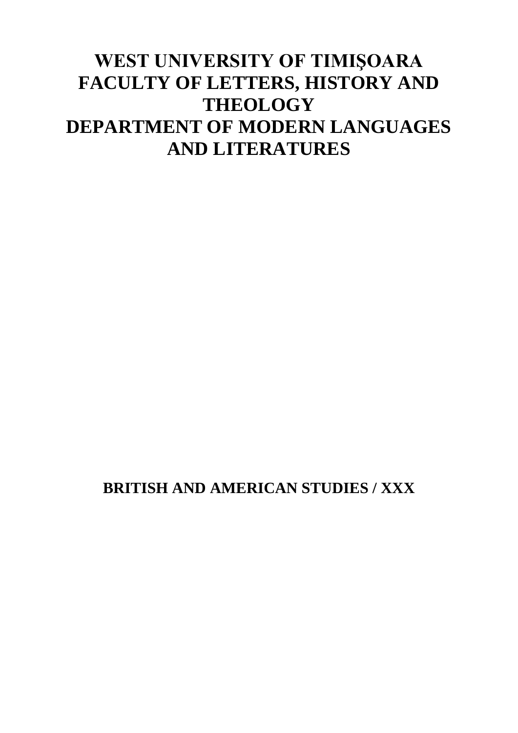# **WEST UNIVERSITY OF TIMIŞOARA FACULTY OF LETTERS, HISTORY AND THEOLOGY DEPARTMENT OF MODERN LANGUAGES AND LITERATURES**

**BRITISH AND AMERICAN STUDIES / XXX**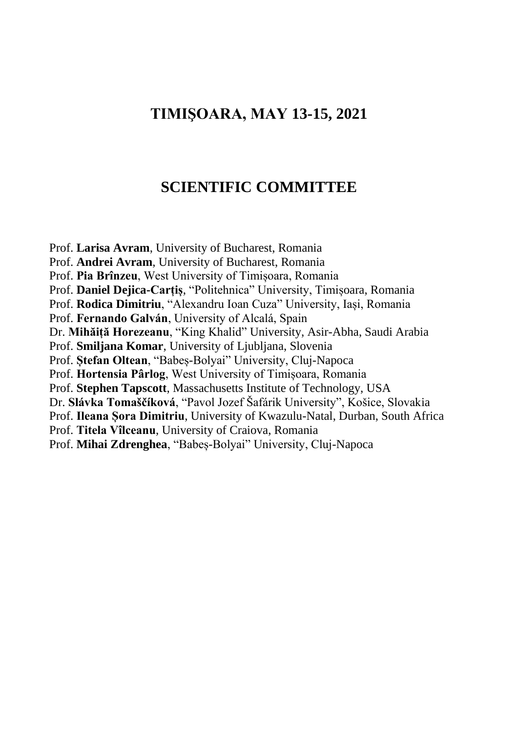## **TIMIŞOARA, MAY 13-15, 2021**

## **SCIENTIFIC COMMITTEE**

Prof. **Larisa Avram**, University of Bucharest, Romania Prof. **Andrei Avram**, University of Bucharest, Romania Prof. **Pia Brînzeu**, West University of Timișoara, Romania Prof. **Daniel Dejica-Carțiș**, "Politehnica" University, Timișoara, Romania Prof. **Rodica Dimitriu**, "Alexandru Ioan Cuza" University, Iași, Romania Prof. **Fernando Galván**, University of Alcalá, Spain Dr. **Mihăiță Horezeanu**, "King Khalid" University, Asir-Abha, Saudi Arabia Prof. **Smiljana Komar**, University of Ljubljana, Slovenia Prof. **Ștefan Oltean**, "Babeș-Bolyai" University, Cluj-Napoca Prof. **Hortensia Pârlog**, West University of Timișoara, Romania Prof. **Stephen Tapscott**, Massachusetts Institute of Technology, USA Dr. **Slávka Tomaščíková**, "Pavol Jozef Šafárik University", Košice, Slovakia Prof. **Ileana Șora Dimitriu**, University of Kwazulu-Natal, Durban, South Africa Prof. **Titela Vîlceanu**, University of Craiova, Romania Prof. **Mihai Zdrenghea**, "Babeș-Bolyai" University, Cluj-Napoca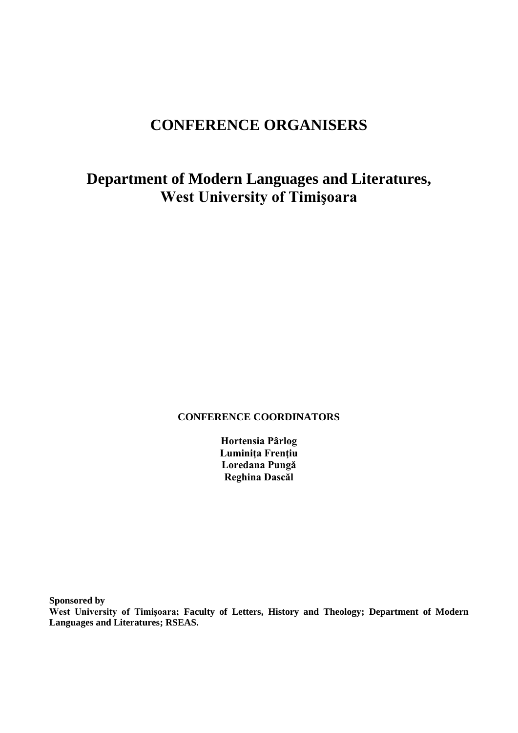## **CONFERENCE ORGANISERS**

## **Department of Modern Languages and Literatures, West University of Timişoara**

## **CONFERENCE COORDINATORS**

**Hortensia Pârlog Luminiţa Frenţiu Loredana Pungă Reghina Dascăl**

**Sponsored by** 

**West University of Timişoara; Faculty of Letters, History and Theology; Department of Modern Languages and Literatures; RSEAS.**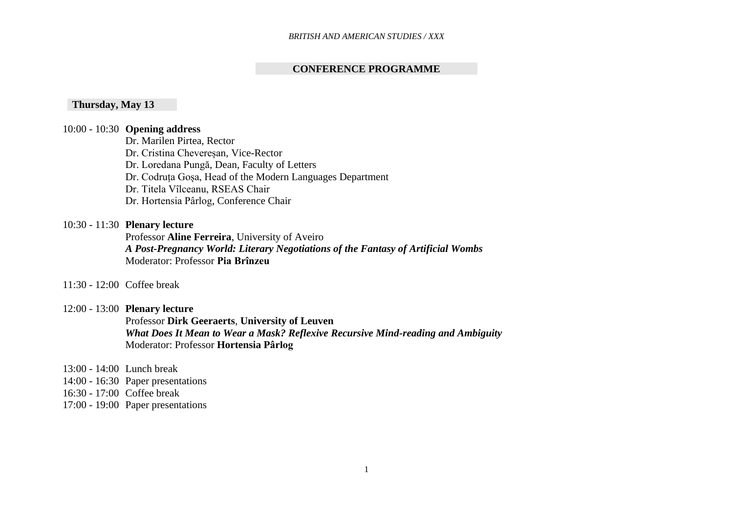## **CONFERENCE PROGRAMME**

## **Thursday, May 13**

## 10:00 - 10:30 **Opening address**

Dr. Marilen Pirtea, Rector

Dr. Cristina Chevereșan, Vice-Rector

Dr. Loredana Pungă, Dean, Faculty of Letters

Dr. Codruța Goșa, Head of the Modern Languages Department

Dr. Titela Vîlceanu, RSEAS Chair

Dr. Hortensia Pârlog, Conference Chair

## 10:30 - 11:30 **Plenary lecture**

Professor **Aline Ferreira**, University of Aveiro *A Post-Pregnancy World: Literary Negotiations of the Fantasy of Artificial Wombs*  Moderator: Professor **Pia Brînzeu**

#### 11:30 - 12:00 Coffee break

## 12:00 - 13:00 **Plenary lecture**

Professor **Dirk Geeraerts**, **University of Leuven** *What Does It Mean to Wear a Mask? Reflexive Recursive Mind-reading and Ambiguity* Moderator: Professor **Hortensia Pârlog**

13:00 - 14:00 Lunch break

14:00 - 16:30 Paper presentations

16:30 - 17:00 Coffee break

17:00 - 19:00 Paper presentations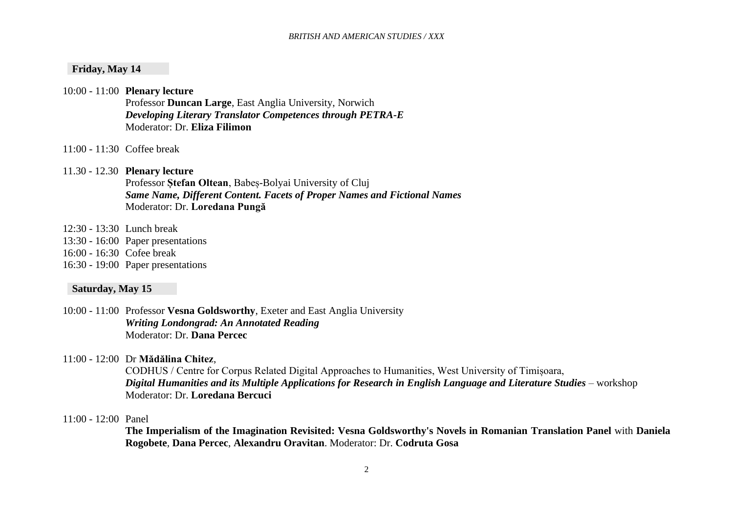## **Friday, May 14**

10:00 - 11:00 **Plenary lecture**

Professor **Duncan Large**, East Anglia University, Norwich *Developing Literary Translator Competences through PETRA-E* Moderator: Dr. **Eliza Filimon**

11:00 - 11:30 Coffee break

## 11.30 - 12.30 **Plenary lecture**

Professor **Ștefan Oltean**, Babeș-Bolyai University of Cluj *Same Name, Different Content. Facets of Proper Names and Fictional Names* Moderator: Dr. **Loredana Pungă**

- 12:30 13:30 Lunch break
- 13:30 16:00 Paper presentations
- 16:00 16:30 Cofee break
- 16:30 19:00 Paper presentations

#### **Saturday, May 15**

- 10:00 11:00 Professor **Vesna Goldsworthy**, Exeter and East Anglia University *Writing Londongrad: An Annotated Reading* Moderator: Dr. **Dana Percec**
- 11:00 12:00 Dr **Mădălina Chitez**,

CODHUS / Centre for Corpus Related Digital Approaches to Humanities, West University of Timișoara, *Digital Humanities and its Multiple Applications for Research in English Language and Literature Studies* – workshop Moderator: Dr. **Loredana Bercuci**

### 11:00 - 12:00 Panel

**The Imperialism of the Imagination Revisited: Vesna Goldsworthy's Novels in Romanian Translation Panel** with **Daniela Rogobete**, **Dana Percec**, **Alexandru Oravitan**. Moderator: Dr. **Codruta Gosa**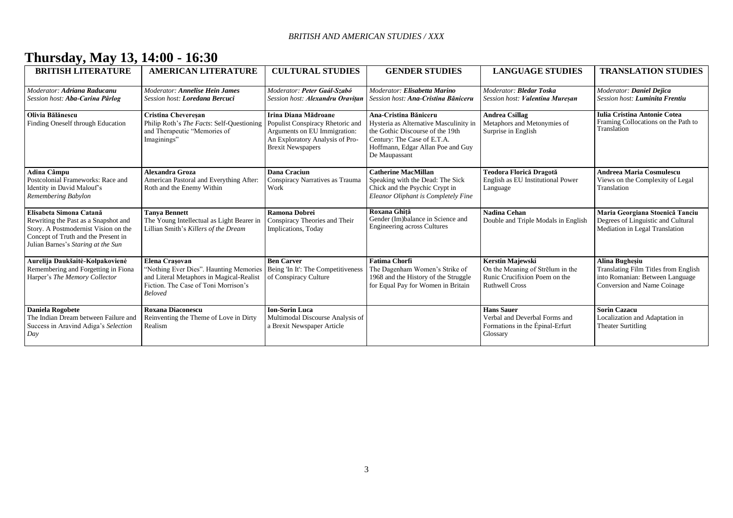## **Thursday, May 13, 14:00 - 16:30**

| <b>BRITISH LITERATURE</b>                                                                                                                                                            | <b>AMERICAN LITERATURE</b>                                                                                                                                     | <b>CULTURAL STUDIES</b>                                                                                                                                 | <b>GENDER STUDIES</b>                                                                                                                                                                    | <b>LANGUAGE STUDIES</b>                                                                                               | <b>TRANSLATION STUDIES</b>                                                                                                             |
|--------------------------------------------------------------------------------------------------------------------------------------------------------------------------------------|----------------------------------------------------------------------------------------------------------------------------------------------------------------|---------------------------------------------------------------------------------------------------------------------------------------------------------|------------------------------------------------------------------------------------------------------------------------------------------------------------------------------------------|-----------------------------------------------------------------------------------------------------------------------|----------------------------------------------------------------------------------------------------------------------------------------|
| Moderator: Adriana Raducanu<br>Session host: Aba-Carina Pârlog                                                                                                                       | <b>Moderator: Annelise Hein James</b><br>Session host: Loredana Bercuci                                                                                        | Moderator: Peter Gaál-Szabó<br>Session host: Alexandru Oravitan                                                                                         | Moderator: Elisabetta Marino<br>Session host: Ana-Cristina Băniceru                                                                                                                      | Moderator: Bledar Toska<br>Session host: Valentina Mureșan                                                            | Moderator: Daniel Dejica<br>Session host: <b>Luminita Frentiu</b>                                                                      |
| Olivia Bălănescu<br>Finding Oneself through Education                                                                                                                                | <b>Cristina Cheveresan</b><br>Philip Roth's The Facts: Self-Questioning<br>and Therapeutic "Memories of<br>Imaginings"                                         | Irina Diana Mădroane<br>Populist Conspiracy Rhetoric and<br>Arguments on EU Immigration:<br>An Exploratory Analysis of Pro-<br><b>Brexit Newspapers</b> | Ana-Cristina Băniceru<br>Hysteria as Alternative Masculinity in<br>the Gothic Discourse of the 19th<br>Century: The Case of E.T.A.<br>Hoffmann, Edgar Allan Poe and Guy<br>De Maupassant | <b>Andrea Csillag</b><br>Metaphors and Metonymies of<br>Surprise in English                                           | <b>Iulia Cristina Antonie Cotea</b><br>Framing Collocations on the Path to<br>Translation                                              |
| <b>Adina Câmpu</b><br>Postcolonial Frameworks: Race and<br>Identity in David Malouf's<br>Remembering Babylon                                                                         | <b>Alexandra Groza</b><br>American Pastoral and Everything After:<br>Roth and the Enemy Within                                                                 | <b>Dana Craciun</b><br>Conspiracy Narratives as Trauma<br>Work                                                                                          | <b>Catherine MacMillan</b><br>Speaking with the Dead: The Sick<br>Chick and the Psychic Crypt in<br>Eleanor Oliphant is Completely Fine                                                  | Teodora Florică Dragotă<br>English as EU Institutional Power<br>Language                                              | <b>Andreea Maria Cosmulescu</b><br>Views on the Complexity of Legal<br>Translation                                                     |
| Elisabeta Simona Catană<br>Rewriting the Past as a Snapshot and<br>Story. A Postmodernist Vision on the<br>Concept of Truth and the Present in<br>Julian Barnes's Staring at the Sun | <b>Tanya Bennett</b><br>The Young Intellectual as Light Bearer in<br>Lillian Smith's Killers of the Dream                                                      | <b>Ramona Dobrei</b><br>Conspiracy Theories and Their<br>Implications, Today                                                                            | Roxana Ghită<br>Gender (Im)balance in Science and<br><b>Engineering across Cultures</b>                                                                                                  | <b>Nadina Cehan</b><br>Double and Triple Modals in English                                                            | Maria Georgiana Stoenică Tanciu<br>Degrees of Linguistic and Cultural<br>Mediation in Legal Translation                                |
| Aurelija Daukšaitė-Kolpakovienė<br>Remembering and Forgetting in Fiona<br>Harper's The Memory Collector                                                                              | Elena Crasovan<br>"Nothing Ever Dies". Haunting Memories<br>and Literal Metaphors in Magical-Realist<br>Fiction. The Case of Toni Morrison's<br><b>Beloved</b> | <b>Ben Carver</b><br>Being 'In It': The Competitiveness<br>of Conspiracy Culture                                                                        | <b>Fatima Chorfi</b><br>The Dagenham Women's Strike of<br>1968 and the History of the Struggle<br>for Equal Pay for Women in Britain                                                     | <b>Kerstin Majewski</b><br>On the Meaning of Strēlum in the<br>Runic Crucifixion Poem on the<br><b>Ruthwell Cross</b> | <b>Alina Bughesiu</b><br><b>Translating Film Titles from English</b><br>into Romanian: Between Language<br>Conversion and Name Coinage |
| <b>Daniela Rogobete</b><br>The Indian Dream between Failure and<br>Success in Aravind Adiga's Selection<br>Day                                                                       | <b>Roxana Diaconescu</b><br>Reinventing the Theme of Love in Dirty<br>Realism                                                                                  | <b>Ion-Sorin Luca</b><br>Multimodal Discourse Analysis of<br>a Brexit Newspaper Article                                                                 |                                                                                                                                                                                          | <b>Hans Sauer</b><br>Verbal and Deverbal Forms and<br>Formations in the Epinal-Erfurt<br>Glossary                     | <b>Sorin Cazacu</b><br>Localization and Adaptation in<br><b>Theater Surtitling</b>                                                     |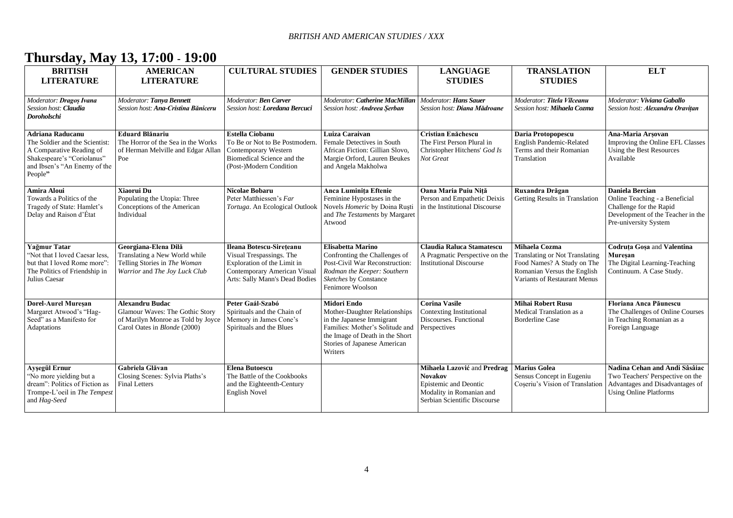## **Thursday, May 13, 17:00 - 19:00**

| <b>BRITISH</b><br><b>LITERATURE</b>                                                                                                                     | <b>AMERICAN</b><br><b>LITERATURE</b>                                                                                                   | <b>CULTURAL STUDIES</b>                                                                                                                               | <b>GENDER STUDIES</b>                                                                                                                                                                      | <b>LANGUAGE</b><br><b>STUDIES</b>                                                                                                  | <b>TRANSLATION</b><br><b>STUDIES</b>                                                                                                                | <b>ELT</b>                                                                                                                                        |
|---------------------------------------------------------------------------------------------------------------------------------------------------------|----------------------------------------------------------------------------------------------------------------------------------------|-------------------------------------------------------------------------------------------------------------------------------------------------------|--------------------------------------------------------------------------------------------------------------------------------------------------------------------------------------------|------------------------------------------------------------------------------------------------------------------------------------|-----------------------------------------------------------------------------------------------------------------------------------------------------|---------------------------------------------------------------------------------------------------------------------------------------------------|
| Moderator: Dragos Ivana<br>Session host: Claudia<br>Doroholschi                                                                                         | Moderator: Tanya Bennett<br>Session host: Ana-Cristina Băniceru                                                                        | Moderator: Ben Carver<br>Session host: Loredana Bercuci                                                                                               | Moderator: Catherine MacMillan<br>Session host: Andreea Serban                                                                                                                             | <b>Moderator: Hans Sauer</b><br>Session host: Diana Mădroane                                                                       | Moderator: Titela Vîlceanu<br>Session host: Mihaela Cozma                                                                                           | Moderator: Viviana Gaballo<br>Session host: Alexandru Oravițan                                                                                    |
| Adriana Raducanu<br>The Soldier and the Scientist:<br>A Comparative Reading of<br>Shakespeare's "Coriolanus"<br>and Ibsen's "An Enemy of the<br>People" | <b>Eduard Blănariu</b><br>The Horror of the Sea in the Works<br>of Herman Melville and Edgar Allan<br>Poe                              | <b>Estella Ciobanu</b><br>To Be or Not to Be Postmodern.<br>Contemporary Western<br>Biomedical Science and the<br>(Post-)Modern Condition             | Luiza Caraivan<br>Female Detectives in South<br>African Fiction: Gillian Slovo,<br>Margie Orford, Lauren Beukes<br>and Angela Makholwa                                                     | Cristian Enăchescu<br>The First Person Plural in<br>Christopher Hitchens' God Is<br>Not Great                                      | Daria Protopopescu<br>English Pandemic-Related<br>Terms and their Romanian<br>Translation                                                           | Ana-Maria Arsovan<br>Improving the Online EFL Classes<br>Using the Best Resources<br>Available                                                    |
| Amira Aloui<br>Towards a Politics of the<br>Tragedy of State: Hamlet's<br>Delay and Raison d'État                                                       | Xiaorui Du<br>Populating the Utopia: Three<br>Conceptions of the American<br>Individual                                                | <b>Nicolae Bobaru</b><br>Peter Matthiessen's Far<br>Tortuga. An Ecological Outlook                                                                    | <b>Anca Luminita Eftenie</b><br>Feminine Hypostases in the<br>Novels Homeric by Doina Rusti<br>and The Testaments by Margaret<br>Atwood                                                    | Oana Maria Puiu Nită<br>Person and Empathetic Deixis<br>in the Institutional Discourse                                             | Ruxandra Drăgan<br>Getting Results in Translation                                                                                                   | <b>Daniela Bercian</b><br>Online Teaching - a Beneficial<br>Challenge for the Rapid<br>Development of the Teacher in the<br>Pre-university System |
| Yağmur Tatar<br>"Not that I loved Caesar less.<br>but that I loved Rome more":<br>The Politics of Friendship in<br>Julius Caesar                        | Georgiana-Elena Dilă<br>Translating a New World while<br>Telling Stories in The Woman<br>Warrior and The Joy Luck Club                 | Ileana Botescu-Sireteanu<br>Visual Trespassings. The<br>Exploration of the Limit in<br>Contemporary American Visual<br>Arts: Sally Mann's Dead Bodies | <b>Elisabetta Marino</b><br>Confronting the Challenges of<br>Post-Civil War Reconstruction:<br>Rodman the Keeper: Southern<br>Sketches by Constance<br>Fenimore Woolson                    | Claudia Raluca Stamatescu<br>A Pragmatic Perspective on the<br><b>Institutional Discourse</b>                                      | Mihaela Cozma<br><b>Translating or Not Translating</b><br>Food Names? A Study on The<br>Romanian Versus the English<br>Variants of Restaurant Menus | <b>Codruta Gosa and Valentina</b><br><b>Muresan</b><br>The Digital Learning-Teaching<br>Continuum. A Case Study.                                  |
| <b>Dorel-Aurel Muresan</b><br>Margaret Atwood's "Hag-<br>Seed" as a Manifesto for<br>Adaptations                                                        | <b>Alexandru Budac</b><br>Glamour Waves: The Gothic Story<br>of Marilyn Monroe as Told by Joyce<br>Carol Oates in <i>Blonde</i> (2000) | Peter Gaál-Szabó<br>Spirituals and the Chain of<br>Memory in James Cone's<br>Spirituals and the Blues                                                 | Midori Endo<br>Mother-Daughter Relationships<br>in the Japanese Immigrant<br>Families: Mother's Solitude and<br>the Image of Death in the Short<br>Stories of Japanese American<br>Writers | <b>Corina Vasile</b><br>Contexting Institutional<br>Discourses. Functional<br>Perspectives                                         | <b>Mihai Robert Rusu</b><br>Medical Translation as a<br><b>Borderline Case</b>                                                                      | Floriana Anca Păunescu<br>The Challenges of Online Courses<br>in Teaching Romanian as a<br>Foreign Language                                       |
| Ayşegül Ernur<br>"No more yielding but a<br>dream": Politics of Fiction as<br>Trompe-L'oeil in The Tempest<br>and Hag-Seed                              | Gabriela Glăvan<br>Closing Scenes: Sylvia Plaths's<br><b>Final Letters</b>                                                             | <b>Elena Butoescu</b><br>The Battle of the Cookbooks<br>and the Eighteenth-Century<br><b>English Novel</b>                                            |                                                                                                                                                                                            | Mihaela Lazović and Predrag<br><b>Novakov</b><br>Epistemic and Deontic<br>Modality in Romanian and<br>Serbian Scientific Discourse | <b>Marius Golea</b><br>Sensus Concept in Eugeniu<br>Coseriu's Vision of Translation                                                                 | Nadina Cehan and Andi Sâsâiac<br>Two Teachers' Perspective on the<br>Advantages and Disadvantages of<br><b>Using Online Platforms</b>             |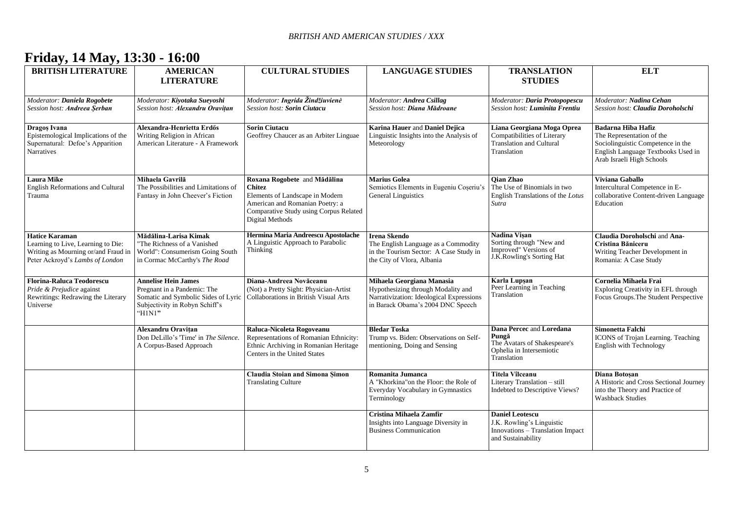## **Friday, 14 May, 13:30 - 16:00**

| <b>BRITISH LITERATURE</b>                                                                                                             | <b>AMERICAN</b><br><b>LITERATURE</b>                                                                                                        | <b>CULTURAL STUDIES</b>                                                                                                                                                   | <b>LANGUAGE STUDIES</b>                                                                                                                          | <b>TRANSLATION</b><br><b>STUDIES</b>                                                                          | <b>ELT</b>                                                                                                                                              |
|---------------------------------------------------------------------------------------------------------------------------------------|---------------------------------------------------------------------------------------------------------------------------------------------|---------------------------------------------------------------------------------------------------------------------------------------------------------------------------|--------------------------------------------------------------------------------------------------------------------------------------------------|---------------------------------------------------------------------------------------------------------------|---------------------------------------------------------------------------------------------------------------------------------------------------------|
| Moderator: Daniela Rogobete<br>Session host: Andreea Serban                                                                           | Moderator: Kiyotaka Sueyoshi<br>Session host: <b>Alexandru Oravitan</b>                                                                     | Moderator: Ingrida Žindžiuvienė<br>Session host: Sorin Ciutacu                                                                                                            | Moderator: Andrea Csillag<br>Session host: Diana Mădroane                                                                                        | Moderator: Daria Protopopescu<br>Session host: <b>Luminita Frentiu</b>                                        | Moderator: Nadina Cehan<br>Session host: Claudia Doroholschi                                                                                            |
| Dragos Ivana<br>Epistemological Implications of the<br>Supernatural: Defoe's Apparition<br><b>Narratives</b>                          | Alexandra-Henrietta Erdős<br>Writing Religion in African<br>American Literature - A Framework                                               | <b>Sorin Ciutacu</b><br>Geoffrey Chaucer as an Arbiter Linguae                                                                                                            | <b>Karina Hauer and Daniel Dejica</b><br>Linguistic Insights into the Analysis of<br>Meteorology                                                 | Liana Georgiana Moga Oprea<br>Compatibilities of Literary<br><b>Translation and Cultural</b><br>Translation   | Badarna Hiba Hafiz<br>The Representation of the<br>Sociolinguistic Competence in the<br>English Language Textbooks Used in<br>Arab Israeli High Schools |
| <b>Laura Mike</b><br>English Reformations and Cultural<br>Trauma                                                                      | Mihaela Gavrilă<br>The Possibilities and Limitations of<br>Fantasy in John Cheever's Fiction                                                | Roxana Rogobete and Mădălina<br>Chitez<br>Elements of Landscape in Modern<br>American and Romanian Poetry: a<br>Comparative Study using Corpus Related<br>Digital Methods | <b>Marius Golea</b><br>Semiotics Elements in Eugeniu Coșeriu's<br><b>General Linguistics</b>                                                     | Oian Zhao<br>The Use of Binomials in two<br>English Translations of the Lotus<br>Sutra                        | Viviana Gaballo<br>Intercultural Competence in E-<br>collaborative Content-driven Language<br>Education                                                 |
| <b>Hatice Karaman</b><br>Learning to Live, Learning to Die:<br>Writing as Mourning or/and Fraud in<br>Peter Ackroyd's Lambs of London | Mădălina-Larisa Kimak<br>The Richness of a Vanished<br>World": Consumerism Going South<br>in Cormac McCarthy's The Road                     | Hermina Maria Andreescu Apostolache<br>A Linguistic Approach to Parabolic<br>Thinking                                                                                     | <b>Irena Skendo</b><br>The English Language as a Commodity<br>in the Tourism Sector: A Case Study in<br>the City of Vlora, Albania               | Nadina Visan<br>Sorting through "New and<br>Improved" Versions of<br>J.K.Rowling's Sorting Hat                | Claudia Doroholschi and Ana-<br>Cristina Băniceru<br>Writing Teacher Development in<br>Romania: A Case Study                                            |
| <b>Florina-Raluca Teodorescu</b><br>Pride & Prejudice against<br>Rewritings: Redrawing the Literary<br>Universe                       | <b>Annelise Hein James</b><br>Pregnant in a Pandemic: The<br>Somatic and Symbolic Sides of Lyric<br>Subjectivity in Robyn Schiff's<br>H1N1" | Diana-Andreea Novăceanu<br>(Not) a Pretty Sight: Physician-Artist<br>Collaborations in British Visual Arts                                                                | Mihaela Georgiana Manasia<br>Hypothesizing through Modality and<br>Narrativization: Ideological Expressions<br>in Barack Obama's 2004 DNC Speech | Karla Lupsan<br>Peer Learning in Teaching<br>Translation                                                      | Cornelia Mihaela Frai<br>Exploring Creativity in EFL through<br>Focus Groups. The Student Perspective                                                   |
|                                                                                                                                       | Alexandru Oravitan<br>Don DeLillo's 'Time' in The Silence.<br>A Corpus-Based Approach                                                       | Raluca-Nicoleta Rogoveanu<br>Representations of Romanian Ethnicity:<br>Ethnic Archiving in Romanian Heritage<br>Centers in the United States                              | <b>Bledar Toska</b><br>Trump vs. Biden: Observations on Self-<br>mentioning, Doing and Sensing                                                   | Dana Percec and Loredana<br>Pungă<br>The Avatars of Shakespeare's<br>Ophelia in Intersemiotic<br>Translation  | Simonetta Falchi<br>ICONS of Trojan Learning. Teaching<br>English with Technology                                                                       |
|                                                                                                                                       |                                                                                                                                             | Claudia Stoian and Simona Şimon<br><b>Translating Culture</b>                                                                                                             | Romanita Jumanca<br>A "Khorkina" on the Floor: the Role of<br>Everyday Vocabulary in Gymnastics<br>Terminology                                   | <b>Titela Vîlceanu</b><br>Literary Translation - still<br>Indebted to Descriptive Views?                      | Diana Botosan<br>A Historic and Cross Sectional Journey<br>into the Theory and Practice of<br><b>Washback Studies</b>                                   |
|                                                                                                                                       |                                                                                                                                             |                                                                                                                                                                           | Cristina Mihaela Zamfir<br>Insights into Language Diversity in<br><b>Business Communication</b>                                                  | <b>Daniel Leotescu</b><br>J.K. Rowling's Linguistic<br>Innovations - Translation Impact<br>and Sustainability |                                                                                                                                                         |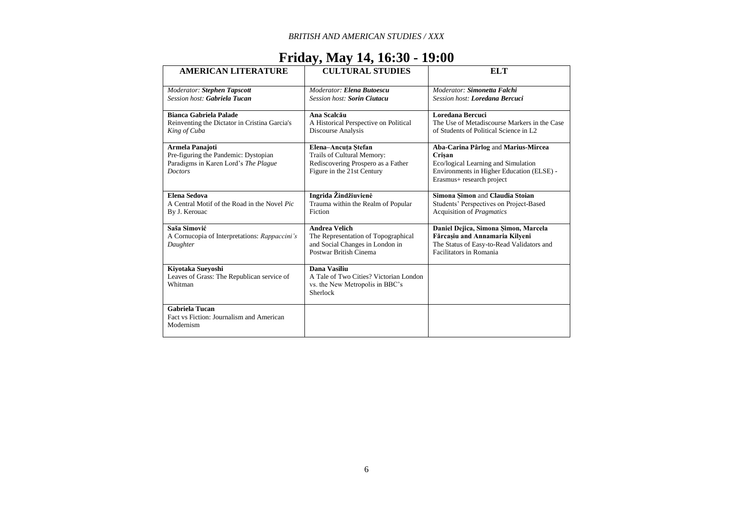## **Friday, May 14, 16:30 - 19:00**

| <b>AMERICAN LITERATURE</b>                    | <b>CULTURAL STUDIES</b>                | <b>ELT</b>                                   |
|-----------------------------------------------|----------------------------------------|----------------------------------------------|
| Moderator: Stephen Tapscott                   | Moderator: Elena Butoescu              | Moderator: Simonetta Falchi                  |
| <b>Session host: Gabriela Tucan</b>           | <b>Session host: Sorin Ciutacu</b>     | Session host: Loredana Bercuci               |
|                                               |                                        |                                              |
| Bianca Gabriela Palade                        | Ana Scalcău                            | Loredana Bercuci                             |
| Reinventing the Dictator in Cristina Garcia's | A Historical Perspective on Political  | The Use of Metadiscourse Markers in the Case |
| King of Cuba                                  | <b>Discourse Analysis</b>              | of Students of Political Science in L2       |
|                                               |                                        |                                              |
| Armela Panajoti                               | Elena-Ancuta Stefan                    | Aba-Carina Pârlog and Marius-Mircea          |
| Pre-figuring the Pandemic: Dystopian          | Trails of Cultural Memory:             | Crisan                                       |
| Paradigms in Karen Lord's The Plague          | Rediscovering Prospero as a Father     | Eco/logical Learning and Simulation          |
| <b>Doctors</b>                                | Figure in the 21st Century             | Environments in Higher Education (ELSE) -    |
|                                               |                                        | Erasmus+ research project                    |
|                                               |                                        |                                              |
| Elena Sedova                                  | Ingrida Žindžiuvienė                   | Simona Simon and Claudia Stoian              |
| A Central Motif of the Road in the Novel Pic  | Trauma within the Realm of Popular     | Students' Perspectives on Project-Based      |
| By J. Kerouac                                 | Fiction                                | Acquisition of <i>Pragmatics</i>             |
|                                               |                                        |                                              |
| Saša Simović                                  | <b>Andrea Velich</b>                   | Daniel Dejica, Simona Simon, Marcela         |
| A Cornucopia of Interpretations: Rappaccini's | The Representation of Topographical    | Fărcașiu and Annamaria Kilyeni               |
| Daughter                                      | and Social Changes in London in        | The Status of Easy-to-Read Validators and    |
|                                               | Postwar British Cinema                 | <b>Facilitators in Romania</b>               |
|                                               |                                        |                                              |
| Kiyotaka Sueyoshi                             | Dana Vasiliu                           |                                              |
| Leaves of Grass: The Republican service of    | A Tale of Two Cities? Victorian London |                                              |
| Whitman                                       | vs. the New Metropolis in BBC's        |                                              |
|                                               | Sherlock                               |                                              |
|                                               |                                        |                                              |
| <b>Gabriela Tucan</b>                         |                                        |                                              |
| Fact vs Fiction: Journalism and American      |                                        |                                              |
| Modernism                                     |                                        |                                              |
|                                               |                                        |                                              |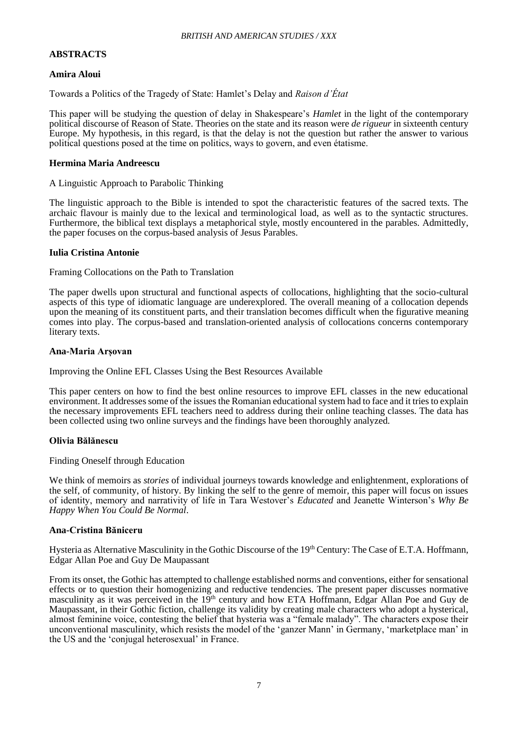## **ABSTRACTS**

## **Amira Aloui**

Towards a Politics of the Tragedy of State: Hamlet's Delay and *Raison d'État*

This paper will be studying the question of delay in Shakespeare's *Hamlet* in the light of the contemporary political discourse of Reason of State. Theories on the state and its reason were *de rigueur* in sixteenth century Europe. My hypothesis, in this regard, is that the delay is not the question but rather the answer to various political questions posed at the time on politics, ways to govern, and even étatisme.

#### **Hermina Maria Andreescu**

#### A Linguistic Approach to Parabolic Thinking

The linguistic approach to the Bible is intended to spot the characteristic features of the sacred texts. The archaic flavour is mainly due to the lexical and terminological load, as well as to the syntactic structures. Furthermore, the biblical text displays a metaphorical style, mostly encountered in the parables. Admittedly, the paper focuses on the corpus-based analysis of Jesus Parables.

#### **Iulia Cristina Antonie**

Framing Collocations on the Path to Translation

The paper dwells upon structural and functional aspects of collocations, highlighting that the socio-cultural aspects of this type of idiomatic language are underexplored. The overall meaning of a collocation depends upon the meaning of its constituent parts, and their translation becomes difficult when the figurative meaning comes into play. The corpus-based and translation-oriented analysis of collocations concerns contemporary literary texts.

#### **Ana-Maria Arșovan**

Improving the Online EFL Classes Using the Best Resources Available

This paper centers on how to find the best online resources to improve EFL classes in the new educational environment. It addresses some of the issues the Romanian educational system had to face and it tries to explain the necessary improvements EFL teachers need to address during their online teaching classes. The data has been collected using two online surveys and the findings have been thoroughly analyzed.

#### **Olivia Bălănescu**

Finding Oneself through Education

We think of memoirs as *stories* of individual journeys towards knowledge and enlightenment, explorations of the self, of community, of history. By linking the self to the genre of memoir, this paper will focus on issues of identity, memory and narrativity of life in Tara Westover's *Educated* and Jeanette Winterson's *Why Be Happy When You Could Be Normal*.

## **Ana-Cristina Băniceru**

Hysteria as Alternative Masculinity in the Gothic Discourse of the 19<sup>th</sup> Century: The Case of E.T.A. Hoffmann, Edgar Allan Poe and Guy De Maupassant

From its onset, the Gothic has attempted to challenge established norms and conventions, either for sensational effects or to question their homogenizing and reductive tendencies. The present paper discusses normative masculinity as it was perceived in the 19<sup>th</sup> century and how ETA Hoffmann, Edgar Allan Poe and Guy de Maupassant, in their Gothic fiction, challenge its validity by creating male characters who adopt a hysterical, almost feminine voice, contesting the belief that hysteria was a "female malady". The characters expose their unconventional masculinity, which resists the model of the 'ganzer Mann' in Germany, 'marketplace man' in the US and the 'conjugal heterosexual' in France.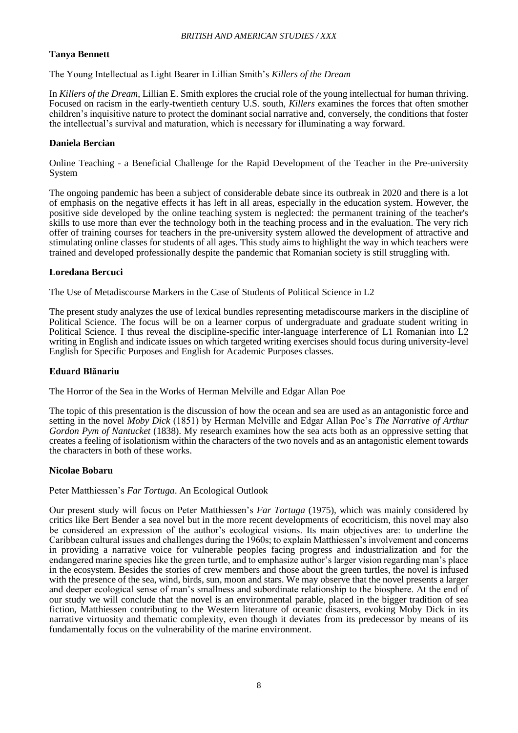## **Tanya Bennett**

The Young Intellectual as Light Bearer in Lillian Smith's *Killers of the Dream*

In *Killers of the Dream*, Lillian E. Smith explores the crucial role of the young intellectual for human thriving. Focused on racism in the early-twentieth century U.S. south, *Killers* examines the forces that often smother children's inquisitive nature to protect the dominant social narrative and, conversely, the conditions that foster the intellectual's survival and maturation, which is necessary for illuminating a way forward.

## **Daniela Bercian**

Online Teaching - a Beneficial Challenge for the Rapid Development of the Teacher in the Pre-university System

The ongoing pandemic has been a subject of considerable debate since its outbreak in 2020 and there is a lot of emphasis on the negative effects it has left in all areas, especially in the education system. However, the positive side developed by the online teaching system is neglected: the permanent training of the teacher's skills to use more than ever the technology both in the teaching process and in the evaluation. The very rich offer of training courses for teachers in the pre-university system allowed the development of attractive and stimulating online classes for students of all ages. This study aims to highlight the way in which teachers were trained and developed professionally despite the pandemic that Romanian society is still struggling with.

## **Loredana Bercuci**

The Use of Metadiscourse Markers in the Case of Students of Political Science in L2

The present study analyzes the use of lexical bundles representing metadiscourse markers in the discipline of Political Science. The focus will be on a learner corpus of undergraduate and graduate student writing in Political Science. I thus reveal the discipline-specific inter-language interference of L1 Romanian into L2 writing in English and indicate issues on which targeted writing exercises should focus during university-level English for Specific Purposes and English for Academic Purposes classes.

## **Eduard Blănariu**

The Horror of the Sea in the Works of Herman Melville and Edgar Allan Poe

The topic of this presentation is the discussion of how the ocean and sea are used as an antagonistic force and setting in the novel *Moby Dick* (1851) by Herman Melville and Edgar Allan Poe's *The Narrative of Arthur Gordon Pym of Nantucket* (1838). My research examines how the sea acts both as an oppressive setting that creates a feeling of isolationism within the characters of the two novels and as an antagonistic element towards the characters in both of these works.

#### **Nicolae Bobaru**

Peter Matthiessen's *Far Tortuga*. An Ecological Outlook

Our present study will focus on Peter Matthiessen's *Far Tortuga* (1975), which was mainly considered by critics like Bert Bender a sea novel but in the more recent developments of ecocriticism, this novel may also be considered an expression of the author's ecological visions. Its main objectives are: to underline the Caribbean cultural issues and challenges during the 1960s; to explain Matthiessen's involvement and concerns in providing a narrative voice for vulnerable peoples facing progress and industrialization and for the endangered marine species like the green turtle, and to emphasize author's larger vision regarding man's place in the ecosystem. Besides the stories of crew members and those about the green turtles, the novel is infused with the presence of the sea, wind, birds, sun, moon and stars. We may observe that the novel presents a larger and deeper ecological sense of man's smallness and subordinate relationship to the biosphere. At the end of our study we will conclude that the novel is an environmental parable, placed in the bigger tradition of sea fiction, Matthiessen contributing to the Western literature of oceanic disasters, evoking Moby Dick in its narrative virtuosity and thematic complexity, even though it deviates from its predecessor by means of its fundamentally focus on the vulnerability of the marine environment.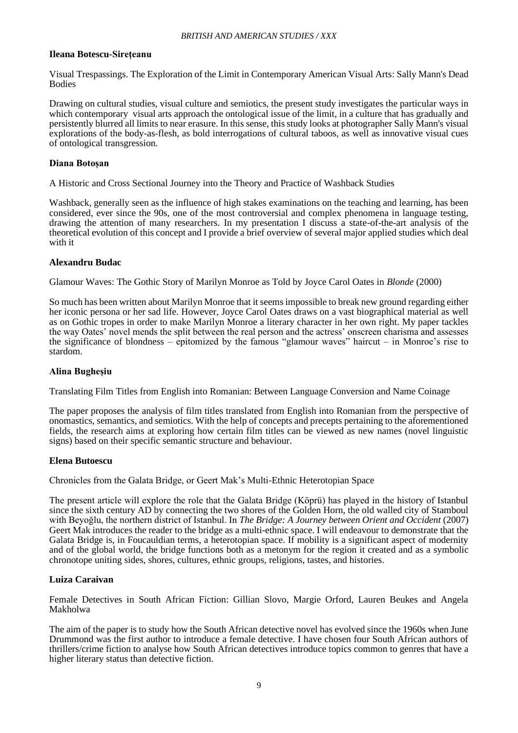#### **Ileana Botescu-Sirețeanu**

Visual Trespassings. The Exploration of the Limit in Contemporary American Visual Arts: Sally Mann's Dead Bodies

Drawing on cultural studies, visual culture and semiotics, the present study investigates the particular ways in which contemporary visual arts approach the ontological issue of the limit, in a culture that has gradually and persistently blurred all limits to near erasure. In this sense, this study looks at photographer Sally Mann's visual explorations of the body-as-flesh, as bold interrogations of cultural taboos, as well as innovative visual cues of ontological transgression.

#### **Diana Botoșan**

A Historic and Cross Sectional Journey into the Theory and Practice of Washback Studies

Washback, generally seen as the influence of high stakes examinations on the teaching and learning, has been considered, ever since the 90s, one of the most controversial and complex phenomena in language testing, drawing the attention of many researchers. In my presentation I discuss a state-of-the-art analysis of the theoretical evolution of this concept and I provide a brief overview of several major applied studies which deal with it

#### **Alexandru Budac**

Glamour Waves: The Gothic Story of Marilyn Monroe as Told by Joyce Carol Oates in *Blonde* (2000)

So much has been written about Marilyn Monroe that it seems impossible to break new ground regarding either her iconic persona or her sad life. However, Joyce Carol Oates draws on a vast biographical material as well as on Gothic tropes in order to make Marilyn Monroe a literary character in her own right. My paper tackles the way Oates' novel mends the split between the real person and the actress' onscreen charisma and assesses the significance of blondness – epitomized by the famous "glamour waves" haircut – in Monroe's rise to stardom.

## **Alina Bugheșiu**

Translating Film Titles from English into Romanian: Between Language Conversion and Name Coinage

The paper proposes the analysis of film titles translated from English into Romanian from the perspective of onomastics, semantics, and semiotics. With the help of concepts and precepts pertaining to the aforementioned fields, the research aims at exploring how certain film titles can be viewed as new names (novel linguistic signs) based on their specific semantic structure and behaviour.

#### **Elena Butoescu**

Chronicles from the Galata Bridge, or Geert Mak's Multi-Ethnic Heterotopian Space

The present article will explore the role that the Galata Bridge (Köprü) has played in the history of Istanbul since the sixth century AD by connecting the two shores of the Golden Horn, the old walled city of Stamboul with Beyoğlu, the northern district of Istanbul. In *The Bridge: A Journey between Orient and Occident* (2007) Geert Mak introduces the reader to the bridge as a multi-ethnic space. I will endeavour to demonstrate that the Galata Bridge is, in Foucauldian terms, a heterotopian space. If mobility is a significant aspect of modernity and of the global world, the bridge functions both as a metonym for the region it created and as a symbolic chronotope uniting sides, shores, cultures, ethnic groups, religions, tastes, and histories.

#### **Luiza Caraivan**

Female Detectives in South African Fiction: Gillian Slovo, Margie Orford, Lauren Beukes and Angela Makholwa

The aim of the paper is to study how the South African detective novel has evolved since the 1960s when June Drummond was the first author to introduce a female detective. I have chosen four South African authors of thrillers/crime fiction to analyse how South African detectives introduce topics common to genres that have a higher literary status than detective fiction.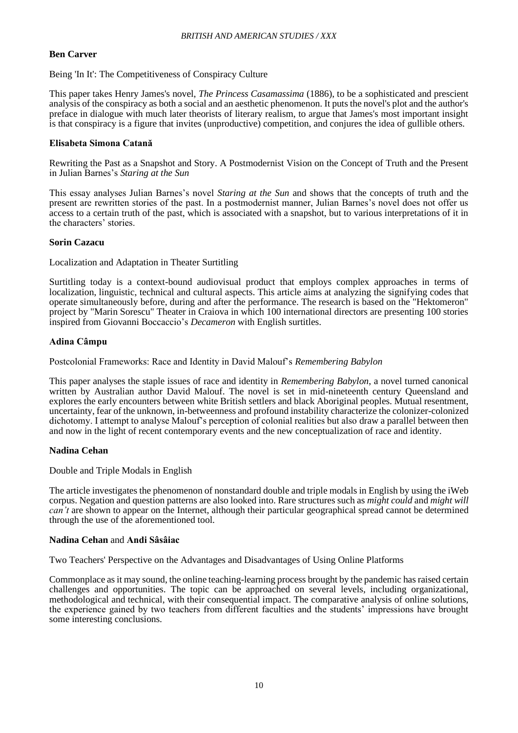## **Ben Carver**

Being 'In It': The Competitiveness of Conspiracy Culture

This paper takes Henry James's novel, *The Princess Casamassima* (1886), to be a sophisticated and prescient analysis of the conspiracy as both a social and an aesthetic phenomenon. It puts the novel's plot and the author's preface in dialogue with much later theorists of literary realism, to argue that James's most important insight is that conspiracy is a figure that invites (unproductive) competition, and conjures the idea of gullible others.

## **Elisabeta Simona Catană**

Rewriting the Past as a Snapshot and Story. A Postmodernist Vision on the Concept of Truth and the Present in Julian Barnes's *Staring at the Sun*

This essay analyses Julian Barnes's novel *Staring at the Sun* and shows that the concepts of truth and the present are rewritten stories of the past. In a postmodernist manner, Julian Barnes's novel does not offer us access to a certain truth of the past, which is associated with a snapshot, but to various interpretations of it in the characters' stories.

#### **Sorin Cazacu**

Localization and Adaptation in Theater Surtitling

Surtitling today is a context-bound audiovisual product that employs complex approaches in terms of localization, linguistic, technical and cultural aspects. This article aims at analyzing the signifying codes that operate simultaneously before, during and after the performance. The research is based on the "Hektomeron" project by "Marin Sorescu" Theater in Craiova in which 100 international directors are presenting 100 stories inspired from Giovanni Boccaccio's *Decameron* with English surtitles.

## **Adina Câmpu**

Postcolonial Frameworks: Race and Identity in David Malouf's *Remembering Babylon*

This paper analyses the staple issues of race and identity in *Remembering Babylon*, a novel turned canonical written by Australian author David Malouf. The novel is set in mid-nineteenth century Queensland and explores the early encounters between white British settlers and black Aboriginal peoples. Mutual resentment, uncertainty, fear of the unknown, in-betweenness and profound instability characterize the colonizer-colonized dichotomy. I attempt to analyse Malouf's perception of colonial realities but also draw a parallel between then and now in the light of recent contemporary events and the new conceptualization of race and identity.

## **Nadina Cehan**

Double and Triple Modals in English

The article investigates the phenomenon of nonstandard double and triple modals in English by using the iWeb corpus. Negation and question patterns are also looked into. Rare structures such as *might could* and *might will can't* are shown to appear on the Internet, although their particular geographical spread cannot be determined through the use of the aforementioned tool.

#### **Nadina Cehan** and **Andi Sâsâiac**

Two Teachers' Perspective on the Advantages and Disadvantages of Using Online Platforms

Commonplace as it may sound, the online teaching-learning process brought by the pandemic has raised certain challenges and opportunities. The topic can be approached on several levels, including organizational, methodological and technical, with their consequential impact. The comparative analysis of online solutions, the experience gained by two teachers from different faculties and the students' impressions have brought some interesting conclusions.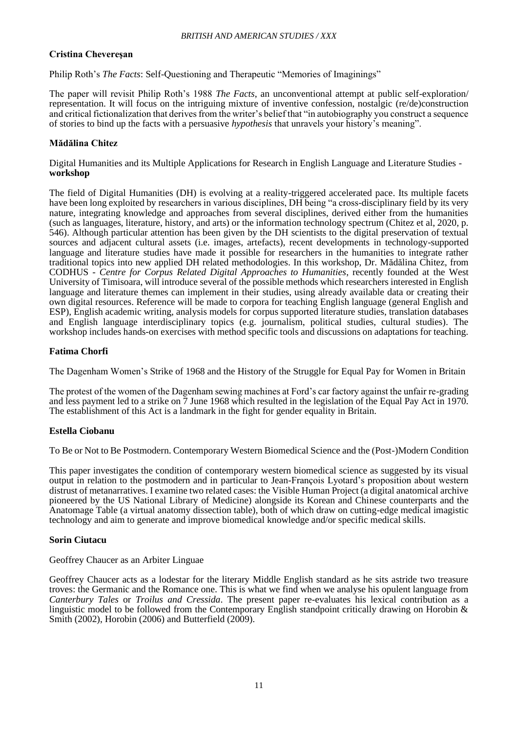## **Cristina Chevereşan**

Philip Roth's *The Facts*: Self-Questioning and Therapeutic "Memories of Imaginings"

The paper will revisit Philip Roth's 1988 *The Facts*, an unconventional attempt at public self-exploration/ representation. It will focus on the intriguing mixture of inventive confession, nostalgic (re/de)construction and critical fictionalization that derives from the writer's belief that "in autobiography you construct a sequence of stories to bind up the facts with a persuasive *hypothesis* that unravels your history's meaning".

## **Mădălina Chitez**

Digital Humanities and its Multiple Applications for Research in English Language and Literature Studies **workshop**

The field of Digital Humanities (DH) is evolving at a reality-triggered accelerated pace. Its multiple facets have been long exploited by researchers in various disciplines, DH being "a cross-disciplinary field by its very nature, integrating knowledge and approaches from several disciplines, derived either from the humanities (such as languages, literature, history, and arts) or the information technology spectrum (Chitez et al, 2020, p. 546). Although particular attention has been given by the DH scientists to the digital preservation of textual sources and adjacent cultural assets (i.e. images, artefacts), recent developments in technology-supported language and literature studies have made it possible for researchers in the humanities to integrate rather traditional topics into new applied DH related methodologies. In this workshop, Dr. Mădălina Chitez, from CODHUS - *Centre for Corpus Related Digital Approaches to Humanities*, recently founded at the West University of Timisoara, will introduce several of the possible methods which researchers interested in English language and literature themes can implement in their studies, using already available data or creating their own digital resources. Reference will be made to corpora for teaching English language (general English and ESP), English academic writing, analysis models for corpus supported literature studies, translation databases and English language interdisciplinary topics (e.g. journalism, political studies, cultural studies). The workshop includes hands-on exercises with method specific tools and discussions on adaptations for teaching.

## **Fatima Chorfi**

The Dagenham Women's Strike of 1968 and the History of the Struggle for Equal Pay for Women in Britain

The protest of the women of the Dagenham sewing machines at Ford's car factory against the unfair re-grading and less payment led to a strike on 7 June 1968 which resulted in the legislation of the Equal Pay Act in 1970. The establishment of this Act is a landmark in the fight for gender equality in Britain.

## **Estella Ciobanu**

To Be or Not to Be Postmodern. Contemporary Western Biomedical Science and the (Post-)Modern Condition

This paper investigates the condition of contemporary western biomedical science as suggested by its visual output in relation to the postmodern and in particular to Jean-François Lyotard's proposition about western distrust of metanarratives. I examine two related cases: the Visible Human Project (a digital anatomical archive pioneered by the US National Library of Medicine) alongside its Korean and Chinese counterparts and the Anatomage Table (a virtual anatomy dissection table), both of which draw on cutting-edge medical imagistic technology and aim to generate and improve biomedical knowledge and/or specific medical skills.

## **Sorin Ciutacu**

Geoffrey Chaucer as an Arbiter Linguae

Geoffrey Chaucer acts as a lodestar for the literary Middle English standard as he sits astride two treasure troves: the Germanic and the Romance one. This is what we find when we analyse his opulent language from *Canterbury Tales* or *Troilus and Cressida*. The present paper re-evaluates his lexical contribution as a linguistic model to be followed from the Contemporary English standpoint critically drawing on Horobin & Smith (2002), Horobin (2006) and Butterfield (2009).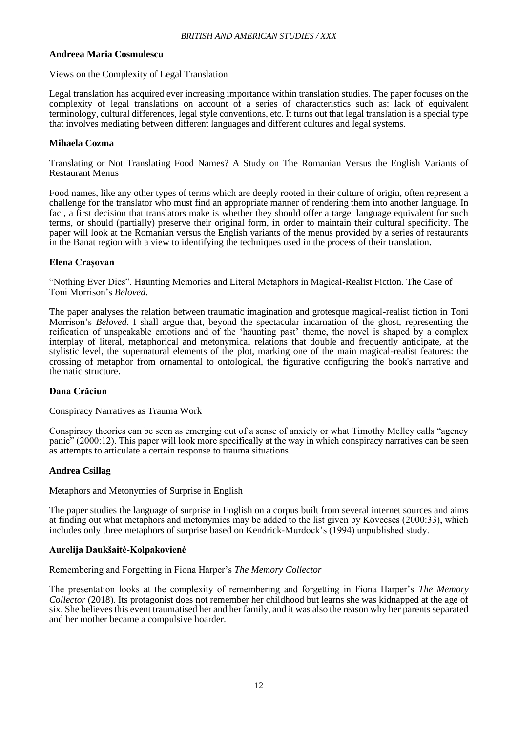#### **Andreea Maria Cosmulescu**

Views on the Complexity of Legal Translation

Legal translation has acquired ever increasing importance within translation studies. The paper focuses on the complexity of legal translations on account of a series of characteristics such as: lack of equivalent terminology, cultural differences, legal style conventions, etc. It turns out that legal translation is a special type that involves mediating between different languages and different cultures and legal systems.

## **Mihaela Cozma**

Translating or Not Translating Food Names? A Study on The Romanian Versus the English Variants of Restaurant Menus

Food names, like any other types of terms which are deeply rooted in their culture of origin, often represent a challenge for the translator who must find an appropriate manner of rendering them into another language. In fact, a first decision that translators make is whether they should offer a target language equivalent for such terms, or should (partially) preserve their original form, in order to maintain their cultural specificity. The paper will look at the Romanian versus the English variants of the menus provided by a series of restaurants in the Banat region with a view to identifying the techniques used in the process of their translation.

#### **Elena Crașovan**

"Nothing Ever Dies". Haunting Memories and Literal Metaphors in Magical-Realist Fiction. The Case of Toni Morrison's *Beloved*.

The paper analyses the relation between traumatic imagination and grotesque magical-realist fiction in Toni Morrison's *Beloved*. I shall argue that, beyond the spectacular incarnation of the ghost, representing the reification of unspeakable emotions and of the 'haunting past' theme, the novel is shaped by a complex interplay of literal, metaphorical and metonymical relations that double and frequently anticipate, at the stylistic level, the supernatural elements of the plot, marking one of the main magical-realist features: the crossing of metaphor from ornamental to ontological, the figurative configuring the book's narrative and thematic structure.

## **Dana Crăciun**

Conspiracy Narratives as Trauma Work

Conspiracy theories can be seen as emerging out of a sense of anxiety or what Timothy Melley calls "agency panic" (2000:12). This paper will look more specifically at the way in which conspiracy narratives can be seen as attempts to articulate a certain response to trauma situations.

#### **Andrea Csillag**

#### Metaphors and Metonymies of Surprise in English

The paper studies the language of surprise in English on a corpus built from several internet sources and aims at finding out what metaphors and metonymies may be added to the list given by Kövecses (2000:33), which includes only three metaphors of surprise based on Kendrick-Murdock's (1994) unpublished study.

#### **Aurelija Daukšaitė-Kolpakovienė**

Remembering and Forgetting in Fiona Harper's *The Memory Collector*

The presentation looks at the complexity of remembering and forgetting in Fiona Harper's *The Memory Collector* (2018). Its protagonist does not remember her childhood but learns she was kidnapped at the age of six. She believes this event traumatised her and her family, and it was also the reason why her parents separated and her mother became a compulsive hoarder.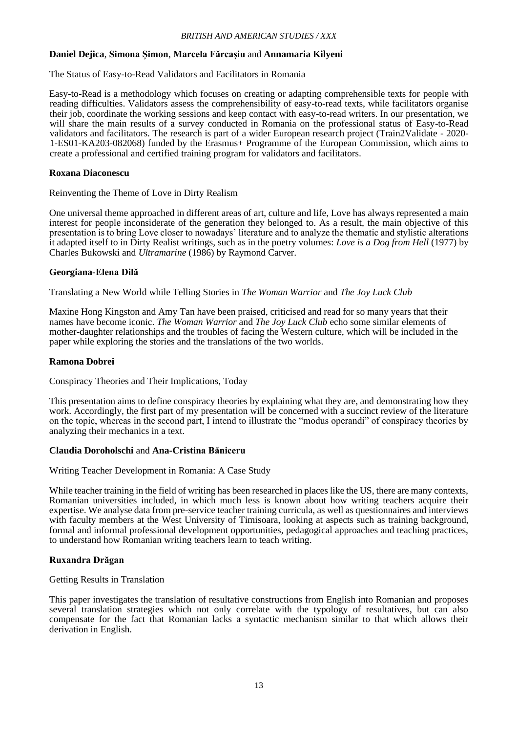#### **Daniel Dejica**, **Simona Șimon**, **Marcela Fărcașiu** and **Annamaria Kilyeni**

The Status of Easy-to-Read Validators and Facilitators in Romania

Easy-to-Read is a methodology which focuses on creating or adapting comprehensible texts for people with reading difficulties. Validators assess the comprehensibility of easy-to-read texts, while facilitators organise their job, coordinate the working sessions and keep contact with easy-to-read writers. In our presentation, we will share the main results of a survey conducted in Romania on the professional status of Easy-to-Read validators and facilitators. The research is part of a wider European research project (Train2Validate - 2020- 1-ES01-KA203-082068) funded by the Erasmus+ Programme of the European Commission, which aims to create a professional and certified training program for validators and facilitators.

#### **Roxana Diaconescu**

Reinventing the Theme of Love in Dirty Realism

One universal theme approached in different areas of art, culture and life, Love has always represented a main interest for people inconsiderate of the generation they belonged to. As a result, the main objective of this presentation is to bring Love closer to nowadays' literature and to analyze the thematic and stylistic alterations it adapted itself to in Dirty Realist writings, such as in the poetry volumes: *Love is a Dog from Hell* (1977) by Charles Bukowski and *Ultramarine* (1986) by Raymond Carver.

#### **Georgiana-Elena Dilă**

Translating a New World while Telling Stories in *The Woman Warrior* and *The Joy Luck Club*

Maxine Hong Kingston and Amy Tan have been praised, criticised and read for so many years that their names have become iconic. *The Woman Warrior* and *The Joy Luck Club* echo some similar elements of mother-daughter relationships and the troubles of facing the Western culture, which will be included in the paper while exploring the stories and the translations of the two worlds.

#### **Ramona Dobrei**

Conspiracy Theories and Their Implications, Today

This presentation aims to define conspiracy theories by explaining what they are, and demonstrating how they work. Accordingly, the first part of my presentation will be concerned with a succinct review of the literature on the topic, whereas in the second part, I intend to illustrate the "modus operandi" of conspiracy theories by analyzing their mechanics in a text.

## **Claudia Doroholschi** and **Ana-Cristina Băniceru**

Writing Teacher Development in Romania: A Case Study

While teacher training in the field of writing has been researched in places like the US, there are many contexts, Romanian universities included, in which much less is known about how writing teachers acquire their expertise. We analyse data from pre-service teacher training curricula, as well as questionnaires and interviews with faculty members at the West University of Timisoara, looking at aspects such as training background, formal and informal professional development opportunities, pedagogical approaches and teaching practices, to understand how Romanian writing teachers learn to teach writing.

## **Ruxandra Drăgan**

Getting Results in Translation

This paper investigates the translation of resultative constructions from English into Romanian and proposes several translation strategies which not only correlate with the typology of resultatives, but can also compensate for the fact that Romanian lacks a syntactic mechanism similar to that which allows their derivation in English.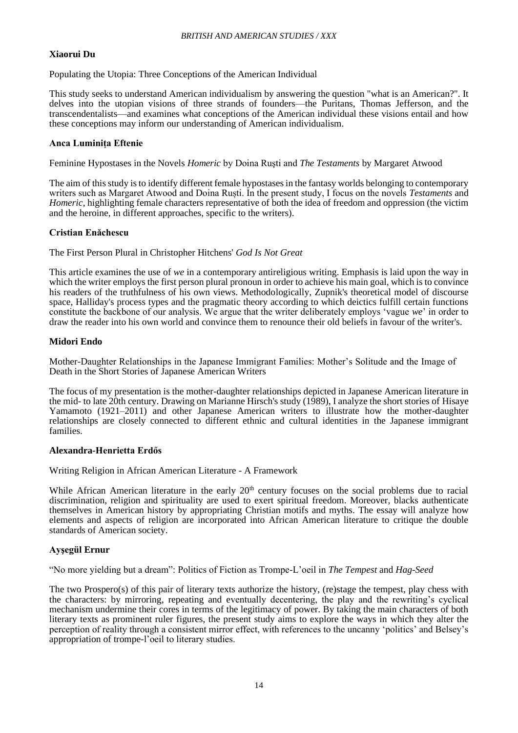## **Xiaorui Du**

Populating the Utopia: Three Conceptions of the American Individual

This study seeks to understand American individualism by answering the question "what is an American?". It delves into the utopian visions of three strands of founders—the Puritans, Thomas Jefferson, and the transcendentalists—and examines what conceptions of the American individual these visions entail and how these conceptions may inform our understanding of American individualism.

## **Anca Luminița Eftenie**

Feminine Hypostases in the Novels *Homeric* by Doina Ruşti and *The Testaments* by Margaret Atwood

The aim of this study is to identify different female hypostases in the fantasy worlds belonging to contemporary writers such as Margaret Atwood and Doina Ruști. In the present study, I focus on the novels *Testaments* and *Homeric*, highlighting female characters representative of both the idea of freedom and oppression (the victim and the heroine, in different approaches, specific to the writers).

#### **Cristian Enăchescu**

The First Person Plural in Christopher Hitchens' *God Is Not Great*

This article examines the use of *we* in a contemporary antireligious writing. Emphasis is laid upon the way in which the writer employs the first person plural pronoun in order to achieve his main goal, which is to convince his readers of the truthfulness of his own views. Methodologically, Zupnik's theoretical model of discourse space, Halliday's process types and the pragmatic theory according to which deictics fulfill certain functions constitute the backbone of our analysis. We argue that the writer deliberately employs 'vague *we*' in order to draw the reader into his own world and convince them to renounce their old beliefs in favour of the writer's.

#### **Midori Endo**

Mother-Daughter Relationships in the Japanese Immigrant Families: Mother's Solitude and the Image of Death in the Short Stories of Japanese American Writers

The focus of my presentation is the mother-daughter relationships depicted in Japanese American literature in the mid- to late 20th century. Drawing on Marianne Hirsch's study (1989), I analyze the short stories of Hisaye Yamamoto (1921–2011) and other Japanese American writers to illustrate how the mother-daughter relationships are closely connected to different ethnic and cultural identities in the Japanese immigrant families.

## **Alexandra-Henrietta Erdős**

Writing Religion in African American Literature - A Framework

While African American literature in the early 20<sup>th</sup> century focuses on the social problems due to racial discrimination, religion and spirituality are used to exert spiritual freedom. Moreover, blacks authenticate themselves in American history by appropriating Christian motifs and myths. The essay will analyze how elements and aspects of religion are incorporated into African American literature to critique the double standards of American society.

## **Ayşegül Ernur**

"No more yielding but a dream": Politics of Fiction as Trompe-L'oeil in *The Tempest* and *Hag-Seed*

The two Prospero(s) of this pair of literary texts authorize the history, (re)stage the tempest, play chess with the characters: by mirroring, repeating and eventually decentering, the play and the rewriting's cyclical mechanism undermine their cores in terms of the legitimacy of power. By taking the main characters of both literary texts as prominent ruler figures, the present study aims to explore the ways in which they alter the perception of reality through a consistent mirror effect, with references to the uncanny 'politics' and Belsey's appropriation of trompe-l'oeil to literary studies.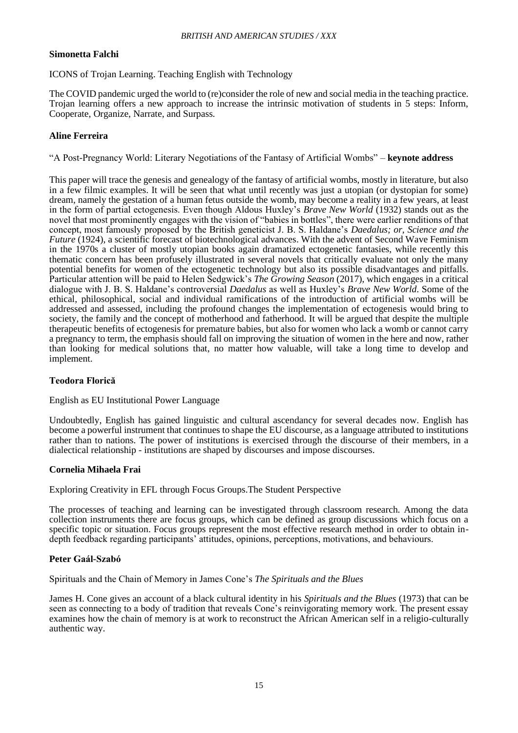## **Simonetta Falchi**

ICONS of Trojan Learning. Teaching English with Technology

The COVID pandemic urged the world to (re)consider the role of new and social media in the teaching practice. Trojan learning offers a new approach to increase the intrinsic motivation of students in 5 steps: Inform, Cooperate, Organize, Narrate, and Surpass.

## **Aline Ferreira**

"A Post-Pregnancy World: Literary Negotiations of the Fantasy of Artificial Wombs" – **keynote address**

This paper will trace the genesis and genealogy of the fantasy of artificial wombs, mostly in literature, but also in a few filmic examples. It will be seen that what until recently was just a utopian (or dystopian for some) dream, namely the gestation of a human fetus outside the womb, may become a reality in a few years, at least in the form of partial ectogenesis. Even though Aldous Huxley's *Brave New World* (1932) stands out as the novel that most prominently engages with the vision of "babies in bottles", there were earlier renditions of that concept, most famously proposed by the British geneticist J. B. S. Haldane's *Daedalus; or, Science and the Future* (1924), a scientific forecast of biotechnological advances. With the advent of Second Wave Feminism in the 1970s a cluster of mostly utopian books again dramatized ectogenetic fantasies, while recently this thematic concern has been profusely illustrated in several novels that critically evaluate not only the many potential benefits for women of the ectogenetic technology but also its possible disadvantages and pitfalls. Particular attention will be paid to Helen Sedgwick's *The Growing Season* (2017), which engages in a critical dialogue with J. B. S. Haldane's controversial *Daedalus* as well as Huxley's *Brave New World*. Some of the ethical, philosophical, social and individual ramifications of the introduction of artificial wombs will be addressed and assessed, including the profound changes the implementation of ectogenesis would bring to society, the family and the concept of motherhood and fatherhood. It will be argued that despite the multiple therapeutic benefits of ectogenesis for premature babies, but also for women who lack a womb or cannot carry a pregnancy to term, the emphasis should fall on improving the situation of women in the here and now, rather than looking for medical solutions that, no matter how valuable, will take a long time to develop and implement.

## **Teodora Florică**

English as EU Institutional Power Language

Undoubtedly, English has gained linguistic and cultural ascendancy for several decades now. English has become a powerful instrument that continues to shape the EU discourse, as a language attributed to institutions rather than to nations. The power of institutions is exercised through the discourse of their members, in a dialectical relationship - institutions are shaped by discourses and impose discourses.

#### **Cornelia Mihaela Frai**

Exploring Creativity in EFL through Focus Groups.The Student Perspective

The processes of teaching and learning can be investigated through classroom research. Among the data collection instruments there are focus groups, which can be defined as group discussions which focus on a specific topic or situation. Focus groups represent the most effective research method in order to obtain indepth feedback regarding participants' attitudes, opinions, perceptions, motivations, and behaviours.

## **Peter Gaál-Szabó**

Spirituals and the Chain of Memory in James Cone's *The Spirituals and the Blues*

James H. Cone gives an account of a black cultural identity in his *Spirituals and the Blues* (1973) that can be seen as connecting to a body of tradition that reveals Cone's reinvigorating memory work. The present essay examines how the chain of memory is at work to reconstruct the African American self in a religio-culturally authentic way.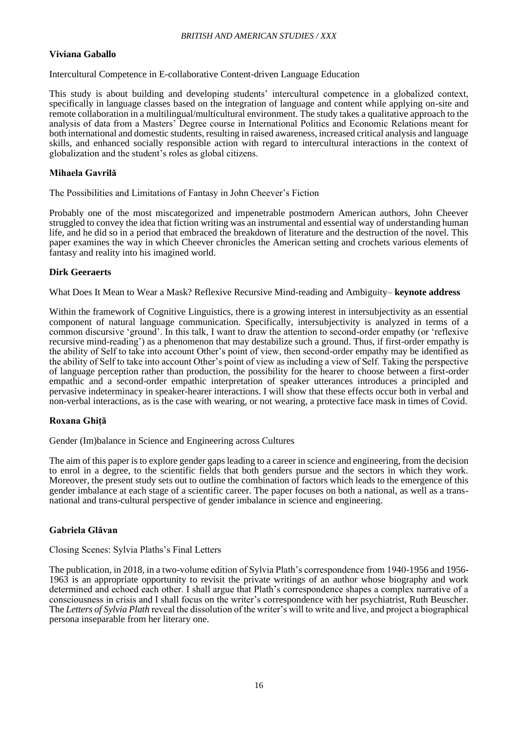## **Viviana Gaballo**

Intercultural Competence in E-collaborative Content-driven Language Education

This study is about building and developing students' intercultural competence in a globalized context, specifically in language classes based on the integration of language and content while applying on-site and remote collaboration in a multilingual/multicultural environment. The study takes a qualitative approach to the analysis of data from a Masters' Degree course in International Politics and Economic Relations meant for both international and domestic students, resulting in raised awareness, increased critical analysis and language skills, and enhanced socially responsible action with regard to intercultural interactions in the context of globalization and the student's roles as global citizens.

## **Mihaela Gavrilă**

The Possibilities and Limitations of Fantasy in John Cheever's Fiction

Probably one of the most miscategorized and impenetrable postmodern American authors, John Cheever struggled to convey the idea that fiction writing was an instrumental and essential way of understanding human life, and he did so in a period that embraced the breakdown of literature and the destruction of the novel. This paper examines the way in which Cheever chronicles the American setting and crochets various elements of fantasy and reality into his imagined world.

## **Dirk Geeraerts**

What Does It Mean to Wear a Mask? Reflexive Recursive Mind-reading and Ambiguity– **keynote address**

Within the framework of Cognitive Linguistics, there is a growing interest in intersubjectivity as an essential component of natural language communication. Specifically, intersubjectivity is analyzed in terms of a common discursive 'ground'. In this talk, I want to draw the attention to second-order empathy (or 'reflexive recursive mind-reading') as a phenomenon that may destabilize such a ground. Thus, if first-order empathy is the ability of Self to take into account Other's point of view, then second-order empathy may be identified as the ability of Self to take into account Other's point of view as including a view of Self. Taking the perspective of language perception rather than production, the possibility for the hearer to choose between a first-order empathic and a second-order empathic interpretation of speaker utterances introduces a principled and pervasive indeterminacy in speaker-hearer interactions. I will show that these effects occur both in verbal and non-verbal interactions, as is the case with wearing, or not wearing, a protective face mask in times of Covid.

## **Roxana Ghiță**

Gender (Im)balance in Science and Engineering across Cultures

The aim of this paper is to explore gender gaps leading to a career in science and engineering, from the decision to enrol in a degree, to the scientific fields that both genders pursue and the sectors in which they work. Moreover, the present study sets out to outline the combination of factors which leads to the emergence of this gender imbalance at each stage of a scientific career. The paper focuses on both a national, as well as a transnational and trans-cultural perspective of gender imbalance in science and engineering.

## **Gabriela Glăvan**

Closing Scenes: Sylvia Plaths's Final Letters

The publication, in 2018, in a two-volume edition of Sylvia Plath's correspondence from 1940-1956 and 1956- 1963 is an appropriate opportunity to revisit the private writings of an author whose biography and work determined and echoed each other. I shall argue that Plath's correspondence shapes a complex narrative of a consciousness in crisis and I shall focus on the writer's correspondence with her psychiatrist, Ruth Beuscher. The *Letters of Sylvia Plath* reveal the dissolution of the writer's will to write and live, and project a biographical persona inseparable from her literary one.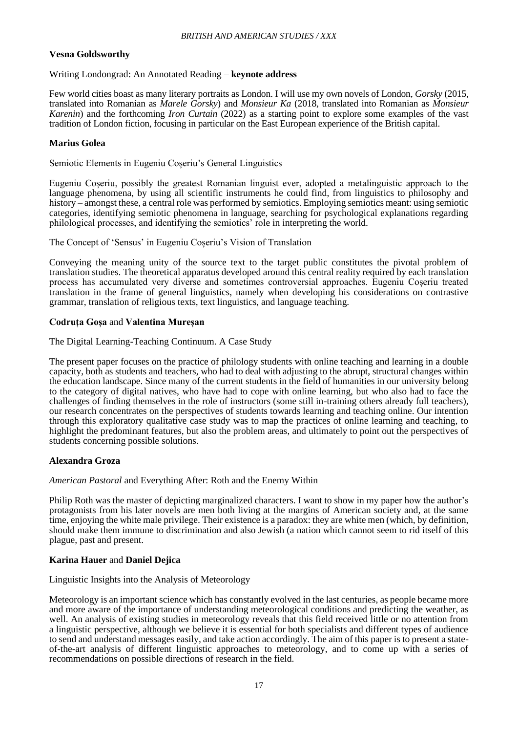## **Vesna Goldsworthy**

## Writing Londongrad: An Annotated Reading – **keynote address**

Few world cities boast as many literary portraits as London. I will use my own novels of London, *Gorsky* (2015, translated into Romanian as *Marele Gorsky*) and *Monsieur Ka* (2018, translated into Romanian as *Monsieur Karenin*) and the forthcoming *Iron Curtain* (2022) as a starting point to explore some examples of the vast tradition of London fiction, focusing in particular on the East European experience of the British capital.

## **Marius Golea**

Semiotic Elements in Eugeniu Coșeriu's General Linguistics

Eugeniu Coșeriu, possibly the greatest Romanian linguist ever, adopted a metalinguistic approach to the language phenomena, by using all scientific instruments he could find, from linguistics to philosophy and history – amongst these, a central role was performed by semiotics. Employing semiotics meant: using semiotic categories, identifying semiotic phenomena in language, searching for psychological explanations regarding philological processes, and identifying the semiotics' role in interpreting the world.

The Concept of 'Sensus' in Eugeniu Coșeriu's Vision of Translation

Conveying the meaning unity of the source text to the target public constitutes the pivotal problem of translation studies. The theoretical apparatus developed around this central reality required by each translation process has accumulated very diverse and sometimes controversial approaches. Eugeniu Coșeriu treated translation in the frame of general linguistics, namely when developing his considerations on contrastive grammar, translation of religious texts, text linguistics, and language teaching.

## **Codruța Goșa** and **Valentina Mureșan**

The Digital Learning-Teaching Continuum. A Case Study

The present paper focuses on the practice of philology students with online teaching and learning in a double capacity, both as students and teachers, who had to deal with adjusting to the abrupt, structural changes within the education landscape. Since many of the current students in the field of humanities in our university belong to the category of digital natives, who have had to cope with online learning, but who also had to face the challenges of finding themselves in the role of instructors (some still in-training others already full teachers), our research concentrates on the perspectives of students towards learning and teaching online. Our intention through this exploratory qualitative case study was to map the practices of online learning and teaching, to highlight the predominant features, but also the problem areas, and ultimately to point out the perspectives of students concerning possible solutions.

## **Alexandra Groza**

*American Pastoral* and Everything After: Roth and the Enemy Within

Philip Roth was the master of depicting marginalized characters. I want to show in my paper how the author's protagonists from his later novels are men both living at the margins of American society and, at the same time, enjoying the white male privilege. Their existence is a paradox: they are white men (which, by definition, should make them immune to discrimination and also Jewish (a nation which cannot seem to rid itself of this plague, past and present.

## **Karina Hauer** and **Daniel Dejica**

#### Linguistic Insights into the Analysis of Meteorology

Meteorology is an important science which has constantly evolved in the last centuries, as people became more and more aware of the importance of understanding meteorological conditions and predicting the weather, as well. An analysis of existing studies in meteorology reveals that this field received little or no attention from a linguistic perspective, although we believe it is essential for both specialists and different types of audience to send and understand messages easily, and take action accordingly. The aim of this paper is to present a stateof-the-art analysis of different linguistic approaches to meteorology, and to come up with a series of recommendations on possible directions of research in the field.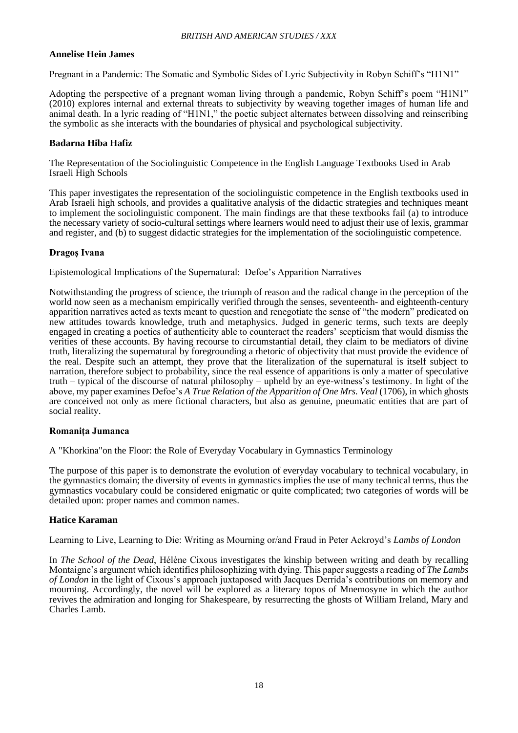## **Annelise Hein James**

Pregnant in a Pandemic: The Somatic and Symbolic Sides of Lyric Subjectivity in Robyn Schiff's "H1N1"

Adopting the perspective of a pregnant woman living through a pandemic, Robyn Schiff's poem "H1N1" (2010) explores internal and external threats to subjectivity by weaving together images of human life and animal death. In a lyric reading of "H1N1," the poetic subject alternates between dissolving and reinscribing the symbolic as she interacts with the boundaries of physical and psychological subjectivity.

## **Badarna Hiba Hafiz**

The Representation of the Sociolinguistic Competence in the English Language Textbooks Used in Arab Israeli High Schools

This paper investigates the representation of the sociolinguistic competence in the English textbooks used in Arab Israeli high schools, and provides a qualitative analysis of the didactic strategies and techniques meant to implement the sociolinguistic component. The main findings are that these textbooks fail (a) to introduce the necessary variety of socio-cultural settings where learners would need to adjust their use of lexis, grammar and register, and (b) to suggest didactic strategies for the implementation of the sociolinguistic competence.

#### **Dragoș Ivana**

Epistemological Implications of the Supernatural: Defoe's Apparition Narratives

Notwithstanding the progress of science, the triumph of reason and the radical change in the perception of the world now seen as a mechanism empirically verified through the senses, seventeenth- and eighteenth-century apparition narratives acted as texts meant to question and renegotiate the sense of "the modern" predicated on new attitudes towards knowledge, truth and metaphysics. Judged in generic terms, such texts are deeply engaged in creating a poetics of authenticity able to counteract the readers' scepticism that would dismiss the verities of these accounts. By having recourse to circumstantial detail, they claim to be mediators of divine truth, literalizing the supernatural by foregrounding a rhetoric of objectivity that must provide the evidence of the real. Despite such an attempt, they prove that the literalization of the supernatural is itself subject to narration, therefore subject to probability, since the real essence of apparitions is only a matter of speculative truth – typical of the discourse of natural philosophy – upheld by an eye-witness's testimony. In light of the above, my paper examines Defoe's *A True Relation of the Apparition of One Mrs. Veal* (1706), in which ghosts are conceived not only as mere fictional characters, but also as genuine, pneumatic entities that are part of social reality.

#### **Romanița Jumanca**

A "Khorkina"on the Floor: the Role of Everyday Vocabulary in Gymnastics Terminology

The purpose of this paper is to demonstrate the evolution of everyday vocabulary to technical vocabulary, in the gymnastics domain; the diversity of events in gymnastics implies the use of many technical terms, thus the gymnastics vocabulary could be considered enigmatic or quite complicated; two categories of words will be detailed upon: proper names and common names.

#### **Hatice Karaman**

Learning to Live, Learning to Die: Writing as Mourning or/and Fraud in Peter Ackroyd's *Lambs of London*

In *The School of the Dead*, Hélène Cixous investigates the kinship between writing and death by recalling Montaigne's argument which identifies philosophizing with dying. This paper suggests a reading of *The Lambs of London* in the light of Cixous's approach juxtaposed with Jacques Derrida's contributions on memory and mourning. Accordingly, the novel will be explored as a literary topos of Mnemosyne in which the author revives the admiration and longing for Shakespeare, by resurrecting the ghosts of William Ireland, Mary and Charles Lamb.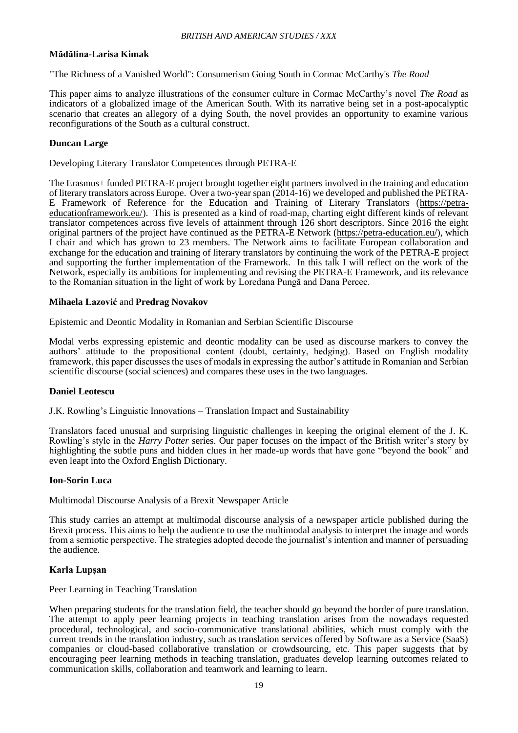## **Mădălina-Larisa Kimak**

"The Richness of a Vanished World": Consumerism Going South in Cormac McCarthy's *The Road*

This paper aims to analyze illustrations of the consumer culture in Cormac McCarthy's novel *The Road* as indicators of a globalized image of the American South. With its narrative being set in a post-apocalyptic scenario that creates an allegory of a dying South, the novel provides an opportunity to examine various reconfigurations of the South as a cultural construct.

## **Duncan Large**

Developing Literary Translator Competences through PETRA-E

The Erasmus+ funded PETRA-E project brought together eight partners involved in the training and education of literary translators across Europe. Over a two-year span (2014-16) we developed and published the PETRA-E Framework of Reference for the Education and Training of Literary Translators (https://petraeducationframework.eu/). This is presented as a kind of road-map, charting eight different kinds of relevant translator competences across five levels of attainment through 126 short descriptors. Since 2016 the eight original partners of the project have continued as the PETRA-E Network (https://petra-education.eu/), which I chair and which has grown to 23 members. The Network aims to facilitate European collaboration and exchange for the education and training of literary translators by continuing the work of the PETRA-E project and supporting the further implementation of the Framework. In this talk I will reflect on the work of the Network, especially its ambitions for implementing and revising the PETRA-E Framework, and its relevance to the Romanian situation in the light of work by Loredana Pungă and Dana Percec.

#### **Mihaela Lazović** and **Predrag Novakov**

Epistemic and Deontic Modality in Romanian and Serbian Scientific Discourse

Modal verbs expressing epistemic and deontic modality can be used as discourse markers to convey the authors' attitude to the propositional content (doubt, certainty, hedging). Based on English modality framework, this paper discusses the uses of modals in expressing the author's attitude in Romanian and Serbian scientific discourse (social sciences) and compares these uses in the two languages.

#### **Daniel Leotescu**

J.K. Rowling's Linguistic Innovations – Translation Impact and Sustainability

Translators faced unusual and surprising linguistic challenges in keeping the original element of the J. K. Rowling's style in the *Harry Potter* series. Our paper focuses on the impact of the British writer's story by highlighting the subtle puns and hidden clues in her made-up words that have gone "beyond the book" and even leapt into the Oxford English Dictionary.

#### **Ion-Sorin Luca**

Multimodal Discourse Analysis of a Brexit Newspaper Article

This study carries an attempt at multimodal discourse analysis of a newspaper article published during the Brexit process. This aims to help the audience to use the multimodal analysis to interpret the image and words from a semiotic perspective. The strategies adopted decode the journalist's intention and manner of persuading the audience.

## **Karla Lupșan**

#### Peer Learning in Teaching Translation

When preparing students for the translation field, the teacher should go beyond the border of pure translation. The attempt to apply peer learning projects in teaching translation arises from the nowadays requested procedural, technological, and socio-communicative translational abilities, which must comply with the current trends in the translation industry, such as translation services offered by Software as a Service (SaaS) companies or cloud-based collaborative translation or crowdsourcing, etc. This paper suggests that by encouraging peer learning methods in teaching translation, graduates develop learning outcomes related to communication skills, collaboration and teamwork and learning to learn.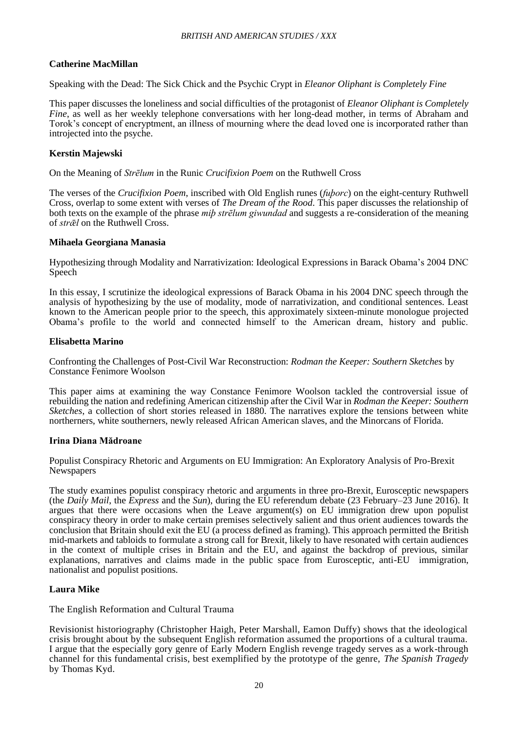## **Catherine MacMillan**

Speaking with the Dead: The Sick Chick and the Psychic Crypt in *Eleanor Oliphant is Completely Fine*

This paper discusses the loneliness and social difficulties of the protagonist of *Eleanor Oliphant is Completely Fine*, as well as her weekly telephone conversations with her long-dead mother, in terms of Abraham and Torok's concept of encryptment, an illness of mourning where the dead loved one is incorporated rather than introjected into the psyche.

## **Kerstin Majewski**

On the Meaning of *Strēlum* in the Runic *Crucifixion Poem* on the Ruthwell Cross

The verses of the *Crucifixion Poem*, inscribed with Old English runes (*fuþorc*) on the eight-century Ruthwell Cross, overlap to some extent with verses of *The Dream of the Rood*. This paper discusses the relationship of both texts on the example of the phrase *miþ strēlum giwundad* and suggests a re-consideration of the meaning of *strǣl* on the Ruthwell Cross.

#### **Mihaela Georgiana Manasia**

Hypothesizing through Modality and Narrativization: Ideological Expressions in Barack Obama's 2004 DNC Speech

In this essay, I scrutinize the ideological expressions of Barack Obama in his 2004 DNC speech through the analysis of hypothesizing by the use of modality, mode of narrativization, and conditional sentences. Least known to the American people prior to the speech, this approximately sixteen-minute monologue projected Obama's profile to the world and connected himself to the American dream, history and public.

#### **Elisabetta Marino**

Confronting the Challenges of Post-Civil War Reconstruction: *Rodman the Keeper: Southern Sketches* by Constance Fenimore Woolson

This paper aims at examining the way Constance Fenimore Woolson tackled the controversial issue of rebuilding the nation and redefining American citizenship after the Civil War in *Rodman the Keeper: Southern Sketches*, a collection of short stories released in 1880. The narratives explore the tensions between white northerners, white southerners, newly released African American slaves, and the Minorcans of Florida.

#### **Irina Diana Mădroane**

Populist Conspiracy Rhetoric and Arguments on EU Immigration: An Exploratory Analysis of Pro-Brexit **Newspapers** 

The study examines populist conspiracy rhetoric and arguments in three pro-Brexit, Eurosceptic newspapers (the *Daily Mail*, the *Express* and the *Sun*), during the EU referendum debate (23 February–23 June 2016). It argues that there were occasions when the Leave argument(s) on EU immigration drew upon populist conspiracy theory in order to make certain premises selectively salient and thus orient audiences towards the conclusion that Britain should exit the EU (a process defined as framing). This approach permitted the British mid-markets and tabloids to formulate a strong call for Brexit, likely to have resonated with certain audiences in the context of multiple crises in Britain and the EU, and against the backdrop of previous, similar explanations, narratives and claims made in the public space from Eurosceptic, anti-EU immigration, nationalist and populist positions.

## **Laura Mike**

The English Reformation and Cultural Trauma

Revisionist historiography (Christopher Haigh, Peter Marshall, Eamon Duffy) shows that the ideological crisis brought about by the subsequent English reformation assumed the proportions of a cultural trauma. I argue that the especially gory genre of Early Modern English revenge tragedy serves as a work-through channel for this fundamental crisis, best exemplified by the prototype of the genre, *The Spanish Tragedy* by Thomas Kyd.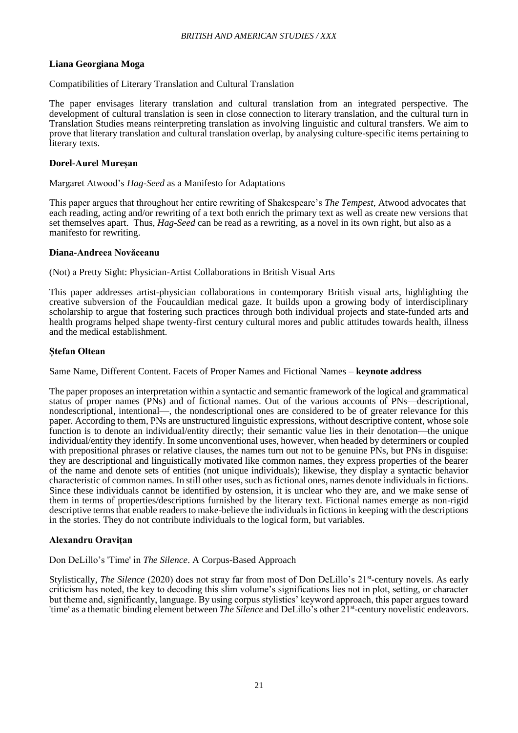## **Liana Georgiana Moga**

## Compatibilities of Literary Translation and Cultural Translation

The paper envisages literary translation and cultural translation from an integrated perspective. The development of cultural translation is seen in close connection to literary translation, and the cultural turn in Translation Studies means reinterpreting translation as involving linguistic and cultural transfers. We aim to prove that literary translation and cultural translation overlap, by analysing culture-specific items pertaining to literary texts.

## **Dorel-Aurel Mureșan**

#### Margaret Atwood's *Hag-Seed* as a Manifesto for Adaptations

This paper argues that throughout her entire rewriting of Shakespeare's *The Tempest*, Atwood advocates that each reading, acting and/or rewriting of a text both enrich the primary text as well as create new versions that set themselves apart. Thus, *Hag-Seed* can be read as a rewriting, as a novel in its own right, but also as a manifesto for rewriting.

#### **Diana-Andreea Novăceanu**

(Not) a Pretty Sight: Physician-Artist Collaborations in British Visual Arts

This paper addresses artist-physician collaborations in contemporary British visual arts, highlighting the creative subversion of the Foucauldian medical gaze. It builds upon a growing body of interdisciplinary scholarship to argue that fostering such practices through both individual projects and state-funded arts and health programs helped shape twenty-first century cultural mores and public attitudes towards health, illness and the medical establishment.

#### **Ștefan Oltean**

Same Name, Different Content. Facets of Proper Names and Fictional Names – **keynote address**

The paper proposes an interpretation within a syntactic and semantic framework of the logical and grammatical status of proper names (PNs) and of fictional names. Out of the various accounts of PNs—descriptional, nondescriptional, intentional—, the nondescriptional ones are considered to be of greater relevance for this paper. According to them, PNs are unstructured linguistic expressions, without descriptive content, whose sole function is to denote an individual/entity directly; their semantic value lies in their denotation—the unique individual/entity they identify. In some unconventional uses, however, when headed by determiners or coupled with prepositional phrases or relative clauses, the names turn out not to be genuine PNs, but PNs in disguise: they are descriptional and linguistically motivated like common names, they express properties of the bearer of the name and denote sets of entities (not unique individuals); likewise, they display a syntactic behavior characteristic of common names. In still other uses, such as fictional ones, names denote individuals in fictions. Since these individuals cannot be identified by ostension, it is unclear who they are, and we make sense of them in terms of properties/descriptions furnished by the literary text. Fictional names emerge as non-rigid descriptive termsthat enable readers to make-believe the individuals in fictions in keeping with the descriptions in the stories. They do not contribute individuals to the logical form, but variables.

## **Alexandru Oravițan**

Don DeLillo's 'Time' in *The Silence*. A Corpus-Based Approach

Stylistically, *The Silence* (2020) does not stray far from most of Don DeLillo's 21<sup>st</sup>-century novels. As early criticism has noted, the key to decoding this slim volume's significations lies not in plot, setting, or character but theme and, significantly, language. By using corpus stylistics' keyword approach, this paper argues toward 'time' as a thematic binding element between *The Silence* and DeLillo's other 21<sup>st</sup>-century novelistic endeavors.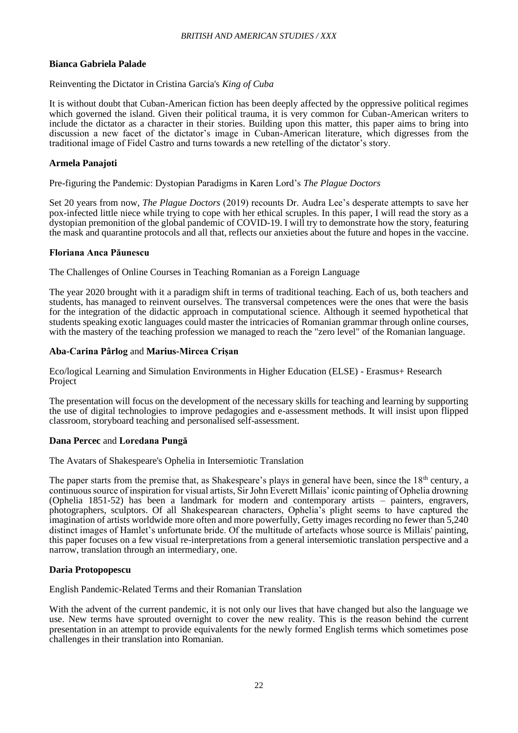## **Bianca Gabriela Palade**

#### Reinventing the Dictator in Cristina Garcia's *King of Cuba*

It is without doubt that Cuban-American fiction has been deeply affected by the oppressive political regimes which governed the island. Given their political trauma, it is very common for Cuban-American writers to include the dictator as a character in their stories. Building upon this matter, this paper aims to bring into discussion a new facet of the dictator's image in Cuban-American literature, which digresses from the traditional image of Fidel Castro and turns towards a new retelling of the dictator's story.

## **Armela Panajoti**

Pre-figuring the Pandemic: Dystopian Paradigms in Karen Lord's *The Plague Doctors*

Set 20 years from now, *The Plague Doctors* (2019) recounts Dr. Audra Lee's desperate attempts to save her pox-infected little niece while trying to cope with her ethical scruples. In this paper, I will read the story as a dystopian premonition of the global pandemic of COVID-19. I will try to demonstrate how the story, featuring the mask and quarantine protocols and all that, reflects our anxieties about the future and hopes in the vaccine.

#### **Floriana Anca Păunescu**

The Challenges of Online Courses in Teaching Romanian as a Foreign Language

The year 2020 brought with it a paradigm shift in terms of traditional teaching. Each of us, both teachers and students, has managed to reinvent ourselves. The transversal competences were the ones that were the basis for the integration of the didactic approach in computational science. Although it seemed hypothetical that students speaking exotic languages could master the intricacies of Romanian grammar through online courses, with the mastery of the teaching profession we managed to reach the "zero level" of the Romanian language.

#### **Aba-Carina Pârlog** and **Marius-Mircea Crișan**

Eco/logical Learning and Simulation Environments in Higher Education (ELSE) - Erasmus+ Research Project

The presentation will focus on the development of the necessary skills for teaching and learning by supporting the use of digital technologies to improve pedagogies and e-assessment methods. It will insist upon flipped classroom, storyboard teaching and personalised self-assessment.

#### **Dana Percec** and **Loredana Pungă**

The Avatars of Shakespeare's Ophelia in Intersemiotic Translation

The paper starts from the premise that, as Shakespeare's plays in general have been, since the  $18<sup>th</sup>$  century, a continuous source of inspiration for visual artists, Sir John Everett Millais' iconic painting of Ophelia drowning (Ophelia 1851-52) has been a landmark for modern and contemporary artists – painters, engravers, photographers, sculptors. Of all Shakespearean characters, Ophelia's plight seems to have captured the imagination of artists worldwide more often and more powerfully, Getty images recording no fewer than 5,240 distinct images of Hamlet's unfortunate bride. Of the multitude of artefacts whose source is Millais' painting, this paper focuses on a few visual re-interpretations from a general intersemiotic translation perspective and a narrow, translation through an intermediary, one.

## **Daria Protopopescu**

English Pandemic-Related Terms and their Romanian Translation

With the advent of the current pandemic, it is not only our lives that have changed but also the language we use. New terms have sprouted overnight to cover the new reality. This is the reason behind the current presentation in an attempt to provide equivalents for the newly formed English terms which sometimes pose challenges in their translation into Romanian.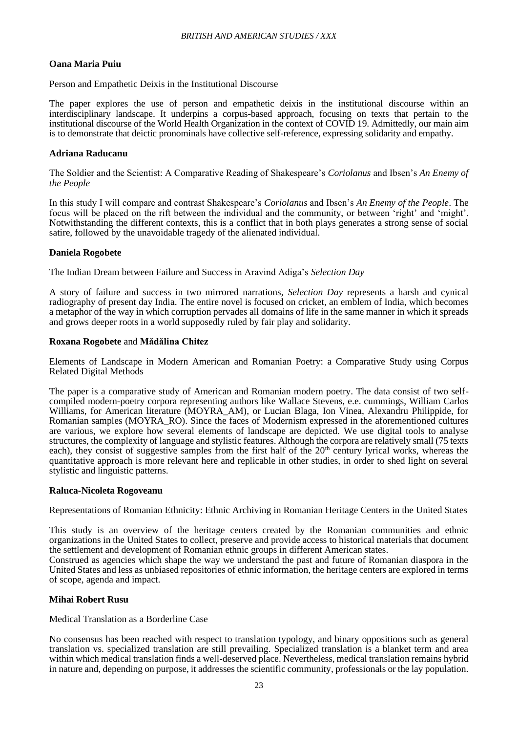## **Oana Maria Puiu**

Person and Empathetic Deixis in the Institutional Discourse

The paper explores the use of person and empathetic deixis in the institutional discourse within an interdisciplinary landscape. It underpins a corpus-based approach, focusing on texts that pertain to the institutional discourse of the World Health Organization in the context of COVID 19. Admittedly, our main aim is to demonstrate that deictic pronominals have collective self-reference, expressing solidarity and empathy.

#### **Adriana Raducanu**

The Soldier and the Scientist: A Comparative Reading of Shakespeare's *Coriolanus* and Ibsen's *An Enemy of the People*

In this study I will compare and contrast Shakespeare's *Coriolanus* and Ibsen's *An Enemy of the People*. The focus will be placed on the rift between the individual and the community, or between 'right' and 'might'. Notwithstanding the different contexts, this is a conflict that in both plays generates a strong sense of social satire, followed by the unavoidable tragedy of the alienated individual.

#### **Daniela Rogobete**

The Indian Dream between Failure and Success in Aravind Adiga's *Selection Day*

A story of failure and success in two mirrored narrations, *Selection Day* represents a harsh and cynical radiography of present day India. The entire novel is focused on cricket, an emblem of India, which becomes a metaphor of the way in which corruption pervades all domains of life in the same manner in which it spreads and grows deeper roots in a world supposedly ruled by fair play and solidarity.

#### **Roxana Rogobete** and **Mădălina Chitez**

Elements of Landscape in Modern American and Romanian Poetry: a Comparative Study using Corpus Related Digital Methods

The paper is a comparative study of American and Romanian modern poetry. The data consist of two selfcompiled modern-poetry corpora representing authors like Wallace Stevens, e.e. cummings, William Carlos Williams, for American literature (MOYRA\_AM), or Lucian Blaga, Ion Vinea, Alexandru Philippide, for Romanian samples (MOYRA\_RO). Since the faces of Modernism expressed in the aforementioned cultures are various, we explore how several elements of landscape are depicted. We use digital tools to analyse structures, the complexity of language and stylistic features. Although the corpora are relatively small (75 texts each), they consist of suggestive samples from the first half of the 20<sup>th</sup> century lyrical works, whereas the quantitative approach is more relevant here and replicable in other studies, in order to shed light on several stylistic and linguistic patterns.

#### **Raluca-Nicoleta Rogoveanu**

Representations of Romanian Ethnicity: Ethnic Archiving in Romanian Heritage Centers in the United States

This study is an overview of the heritage centers created by the Romanian communities and ethnic organizations in the United States to collect, preserve and provide access to historical materials that document the settlement and development of Romanian ethnic groups in different American states.

Construed as agencies which shape the way we understand the past and future of Romanian diaspora in the United States and less as unbiased repositories of ethnic information, the heritage centers are explored in terms of scope, agenda and impact.

## **Mihai Robert Rusu**

Medical Translation as a Borderline Case

No consensus has been reached with respect to translation typology, and binary oppositions such as general translation vs. specialized translation are still prevailing. Specialized translation is a blanket term and area within which medical translation finds a well-deserved place. Nevertheless, medical translation remains hybrid in nature and, depending on purpose, it addresses the scientific community, professionals or the lay population.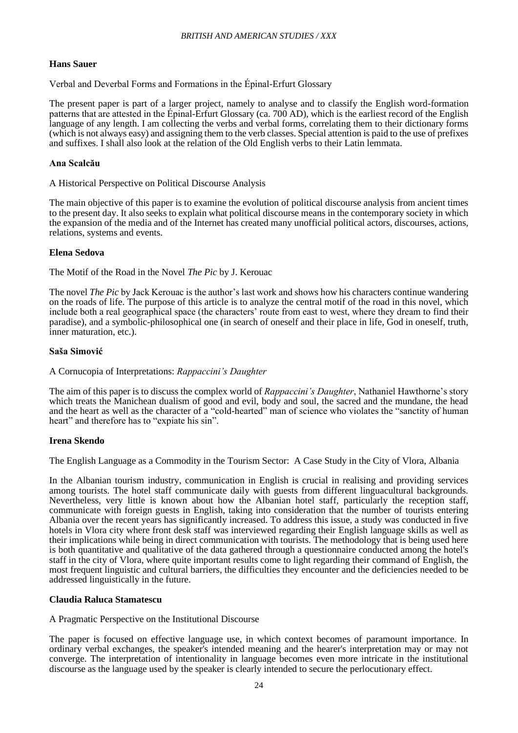## **Hans Sauer**

Verbal and Deverbal Forms and Formations in the Épinal-Erfurt Glossary

The present paper is part of a larger project, namely to analyse and to classify the English word-formation patterns that are attested in the Épinal-Erfurt Glossary (ca. 700 AD), which is the earliest record of the English language of any length. I am collecting the verbs and verbal forms, correlating them to their dictionary forms (which is not always easy) and assigning them to the verb classes. Special attention is paid to the use of prefixes and suffixes. I shall also look at the relation of the Old English verbs to their Latin lemmata.

#### **Ana Scalcău**

#### A Historical Perspective on Political Discourse Analysis

The main objective of this paper is to examine the evolution of political discourse analysis from ancient times to the present day. It also seeks to explain what political discourse means in the contemporary society in which the expansion of the media and of the Internet has created many unofficial political actors, discourses, actions, relations, systems and events.

## **Elena Sedova**

The Motif of the Road in the Novel *The Pic* by J. Kerouac

The novel *The Pic* by Jack Kerouac is the author's last work and shows how his characters continue wandering on the roads of life. The purpose of this article is to analyze the central motif of the road in this novel, which include both a real geographical space (the characters' route from east to west, where they dream to find their paradise), and a symbolic-philosophical one (in search of oneself and their place in life, God in oneself, truth, inner maturation, etc.).

#### **Saša Simović**

#### A Cornucopia of Interpretations: *Rappaccini's Daughter*

The aim of this paper is to discuss the complex world of *Rappaccini's Daughter*, Nathaniel Hawthorne's story which treats the Manichean dualism of good and evil, body and soul, the sacred and the mundane, the head and the heart as well as the character of a "cold-hearted" man of science who violates the "sanctity of human heart" and therefore has to "expiate his sin".

#### **Irena Skendo**

The English Language as a Commodity in the Tourism Sector: A Case Study in the City of Vlora, Albania

In the Albanian tourism industry, communication in English is crucial in realising and providing services among tourists. The hotel staff communicate daily with guests from different linguacultural backgrounds. Nevertheless, very little is known about how the Albanian hotel staff, particularly the reception staff, communicate with foreign guests in English, taking into consideration that the number of tourists entering Albania over the recent years has significantly increased. To address this issue, a study was conducted in five hotels in Vlora city where front desk staff was interviewed regarding their English language skills as well as their implications while being in direct communication with tourists. The methodology that is being used here is both quantitative and qualitative of the data gathered through a questionnaire conducted among the hotel's staff in the city of Vlora, where quite important results come to light regarding their command of English, the most frequent linguistic and cultural barriers, the difficulties they encounter and the deficiencies needed to be addressed linguistically in the future.

#### **Claudia Raluca Stamatescu**

A Pragmatic Perspective on the Institutional Discourse

The paper is focused on effective language use, in which context becomes of paramount importance. In ordinary verbal exchanges, the speaker's intended meaning and the hearer's interpretation may or may not converge. The interpretation of intentionality in language becomes even more intricate in the institutional discourse as the language used by the speaker is clearly intended to secure the perlocutionary effect.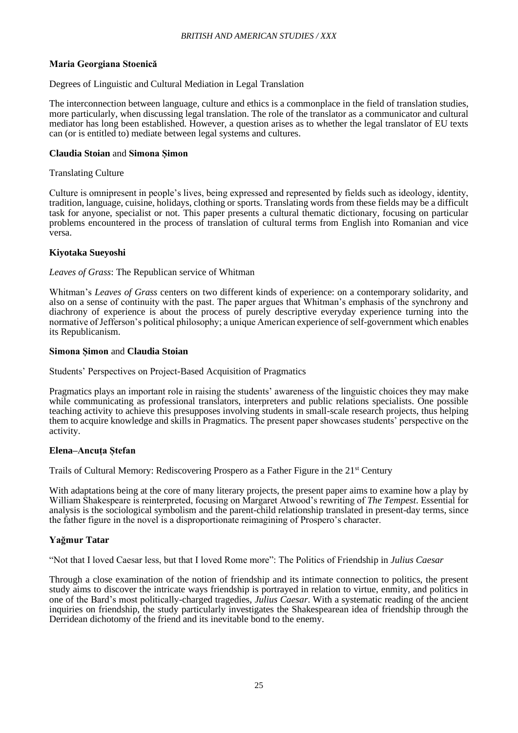## **Maria Georgiana Stoenică**

#### Degrees of Linguistic and Cultural Mediation in Legal Translation

The interconnection between language, culture and ethics is a commonplace in the field of translation studies, more particularly, when discussing legal translation. The role of the translator as a communicator and cultural mediator has long been established. However, a question arises as to whether the legal translator of EU texts can (or is entitled to) mediate between legal systems and cultures.

#### **Claudia Stoian** and **Simona Șimon**

#### Translating Culture

Culture is omnipresent in people's lives, being expressed and represented by fields such as ideology, identity, tradition, language, cuisine, holidays, clothing or sports. Translating words from these fields may be a difficult task for anyone, specialist or not. This paper presents a cultural thematic dictionary, focusing on particular problems encountered in the process of translation of cultural terms from English into Romanian and vice versa.

## **Kiyotaka Sueyoshi**

#### *Leaves of Grass*: The Republican service of Whitman

Whitman's *Leaves of Grass* centers on two different kinds of experience: on a contemporary solidarity, and also on a sense of continuity with the past. The paper argues that Whitman's emphasis of the synchrony and diachrony of experience is about the process of purely descriptive everyday experience turning into the normative of Jefferson's political philosophy; a unique American experience of self-government which enables its Republicanism.

#### **Simona Șimon** and **Claudia Stoian**

Students' Perspectives on Project-Based Acquisition of Pragmatics

Pragmatics plays an important role in raising the students' awareness of the linguistic choices they may make while communicating as professional translators, interpreters and public relations specialists. One possible teaching activity to achieve this presupposes involving students in small-scale research projects, thus helping them to acquire knowledge and skills in Pragmatics*.* The present paper showcases students' perspective on the activity.

#### **Elena–Ancuța Ștefan**

Trails of Cultural Memory: Rediscovering Prospero as a Father Figure in the 21st Century

With adaptations being at the core of many literary projects, the present paper aims to examine how a play by William Shakespeare is reinterpreted, focusing on Margaret Atwood's rewriting of *The Tempest*. Essential for analysis is the sociological symbolism and the parent-child relationship translated in present-day terms, since the father figure in the novel is a disproportionate reimagining of Prospero's character.

## **Yağmur Tatar**

"Not that I loved Caesar less, but that I loved Rome more": The Politics of Friendship in *Julius Caesar*

Through a close examination of the notion of friendship and its intimate connection to politics, the present study aims to discover the intricate ways friendship is portrayed in relation to virtue, enmity, and politics in one of the Bard's most politically-charged tragedies, *Julius Caesar*. With a systematic reading of the ancient inquiries on friendship, the study particularly investigates the Shakespearean idea of friendship through the Derridean dichotomy of the friend and its inevitable bond to the enemy.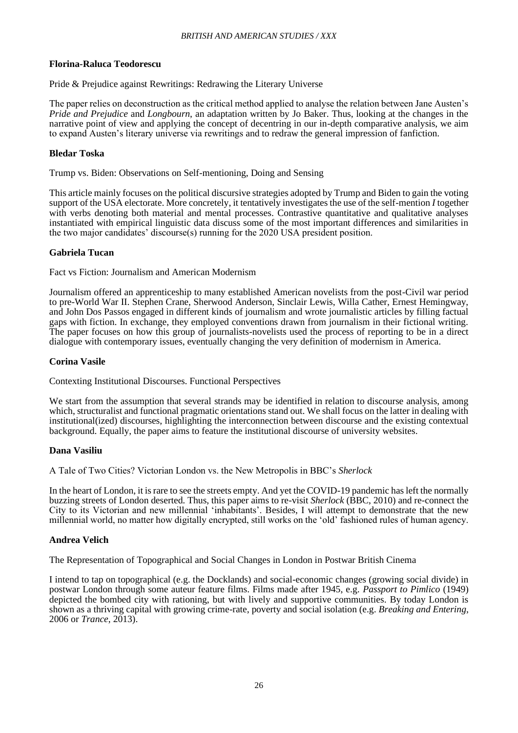## **Florina-Raluca Teodorescu**

Pride & Prejudice against Rewritings: Redrawing the Literary Universe

The paper relies on deconstruction as the critical method applied to analyse the relation between Jane Austen's *Pride and Prejudice* and *Longbourn*, an adaptation written by Jo Baker. Thus, looking at the changes in the narrative point of view and applying the concept of decentring in our in-depth comparative analysis, we aim to expand Austen's literary universe via rewritings and to redraw the general impression of fanfiction.

#### **Bledar Toska**

Trump vs. Biden: Observations on Self-mentioning, Doing and Sensing

This article mainly focuses on the political discursive strategies adopted by Trump and Biden to gain the voting support of the USA electorate. More concretely, it tentatively investigates the use of the self-mention *I* together with verbs denoting both material and mental processes. Contrastive quantitative and qualitative analyses instantiated with empirical linguistic data discuss some of the most important differences and similarities in the two major candidates' discourse(s) running for the 2020 USA president position.

#### **Gabriela Tucan**

Fact vs Fiction: Journalism and American Modernism

Journalism offered an apprenticeship to many established American novelists from the post-Civil war period to pre-World War II. Stephen Crane, Sherwood Anderson, Sinclair Lewis, Willa Cather, Ernest Hemingway, and John Dos Passos engaged in different kinds of journalism and wrote journalistic articles by filling factual gaps with fiction. In exchange, they employed conventions drawn from journalism in their fictional writing. The paper focuses on how this group of journalists-novelists used the process of reporting to be in a direct dialogue with contemporary issues, eventually changing the very definition of modernism in America.

#### **Corina Vasile**

Contexting Institutional Discourses. Functional Perspectives

We start from the assumption that several strands may be identified in relation to discourse analysis, among which, structuralist and functional pragmatic orientations stand out. We shall focus on the latter in dealing with institutional(ized) discourses, highlighting the interconnection between discourse and the existing contextual background. Equally, the paper aims to feature the institutional discourse of university websites.

#### **Dana Vasiliu**

A Tale of Two Cities? Victorian London vs. the New Metropolis in BBC's *Sherlock*

In the heart of London, it is rare to see the streets empty. And yet the COVID-19 pandemic has left the normally buzzing streets of London deserted. Thus, this paper aims to re-visit *Sherlock* (BBC, 2010) and re-connect the City to its Victorian and new millennial 'inhabitants'. Besides, I will attempt to demonstrate that the new millennial world, no matter how digitally encrypted, still works on the 'old' fashioned rules of human agency.

## **Andrea Velich**

The Representation of Topographical and Social Changes in London in Postwar British Cinema

I intend to tap on topographical (e.g. the Docklands) and social-economic changes (growing social divide) in postwar London through some auteur feature films. Films made after 1945, e.g. *Passport to Pimlico* (1949) depicted the bombed city with rationing, but with lively and supportive communities. By today London is shown as a thriving capital with growing crime-rate, poverty and social isolation (e.g. *Breaking and Entering*, 2006 or *Trance*, 2013).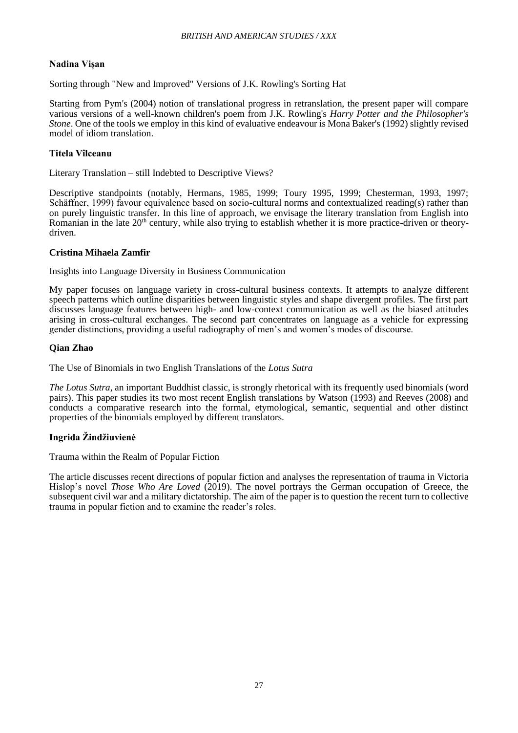## **Nadina Vișan**

Sorting through "New and Improved" Versions of J.K. Rowling's Sorting Hat

Starting from Pym's (2004) notion of translational progress in retranslation, the present paper will compare various versions of a well-known children's poem from J.K. Rowling's *Harry Potter and the Philosopher's Stone*. One of the tools we employ in this kind of evaluative endeavour is Mona Baker's (1992) slightly revised model of idiom translation.

## **Titela Vîlceanu**

Literary Translation – still Indebted to Descriptive Views?

Descriptive standpoints (notably, Hermans, 1985, 1999; Toury 1995, 1999; Chesterman, 1993, 1997; Schäffner, 1999) favour equivalence based on socio-cultural norms and contextualized reading(s) rather than on purely linguistic transfer. In this line of approach, we envisage the literary translation from English into Romanian in the late 20<sup>th</sup> century, while also trying to establish whether it is more practice-driven or theorydriven.

## **Cristina Mihaela Zamfir**

Insights into Language Diversity in Business Communication

My paper focuses on language variety in cross-cultural business contexts. It attempts to analyze different speech patterns which outline disparities between linguistic styles and shape divergent profiles. The first part discusses language features between high- and low-context communication as well as the biased attitudes arising in cross-cultural exchanges. The second part concentrates on language as a vehicle for expressing gender distinctions, providing a useful radiography of men's and women's modes of discourse.

#### **Qian Zhao**

The Use of Binomials in two English Translations of the *Lotus Sutra*

*The Lotus Sutra*, an important Buddhist classic, is strongly rhetorical with its frequently used binomials (word pairs). This paper studies its two most recent English translations by Watson (1993) and Reeves (2008) and conducts a comparative research into the formal, etymological, semantic, sequential and other distinct properties of the binomials employed by different translators.

## **Ingrida Žindžiuvienė**

Trauma within the Realm of Popular Fiction

The article discusses recent directions of popular fiction and analyses the representation of trauma in Victoria Hislop's novel *Those Who Are Loved* (2019). The novel portrays the German occupation of Greece, the subsequent civil war and a military dictatorship. The aim of the paper is to question the recent turn to collective trauma in popular fiction and to examine the reader's roles.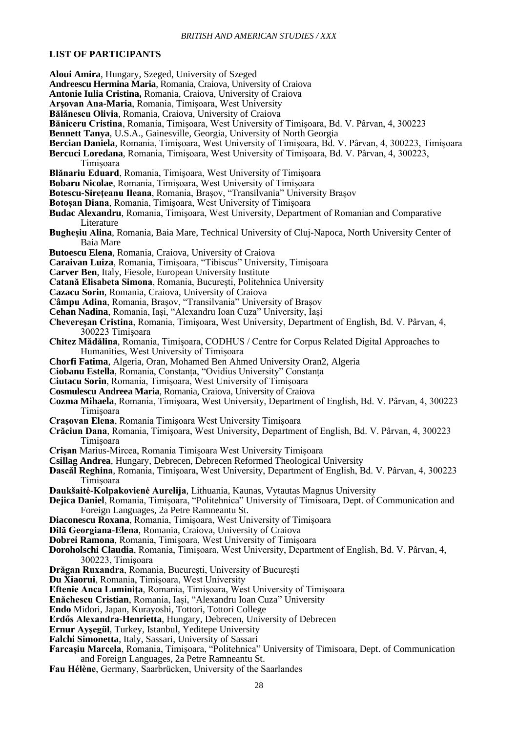### **LIST OF PARTICIPANTS**

- **Aloui Amira**, Hungary, Szeged, University of Szeged
- **Andreescu Hermina Maria**, Romania, Craiova, University of Craiova
- **Antonie Iulia Cristina,** Romania, Craiova, University of Craiova
- **Arșovan Ana-Maria**, Romania, Timișoara, West University
- **Bălănescu Olivia**, Romania, Craiova, University of Craiova
- **Băniceru Cristina**, Romania, Timişoara, West University of Timișoara, Bd. V. Pârvan, 4, 300223
- **Bennett Tanya**, U.S.A., Gainesville, Georgia, University of North Georgia
- **Bercian Daniela**, Romania, Timişoara, West University of Timișoara, Bd. V. Pârvan, 4, 300223, Timișoara
- **Bercuci Loredana**, Romania, Timişoara, West University of Timișoara, Bd. V. Pârvan, 4, 300223,
	- Timișoara
- **Blănariu Eduard**, Romania, Timişoara, West University of Timișoara
- **Bobaru Nicolae**, Romania, Timișoara, West University of Timișoara
- **Botescu-Sirețeanu Ileana**, Romania, Brașov, "Transilvania" University Brașov
- **Botoșan Diana**, Romania, Timișoara, West University of Timișoara
- **Budac Alexandru**, Romania, Timişoara, West University, Department of Romanian and Comparative Literature
- **Bugheșiu Alina**, Romania, Baia Mare, Technical University of Cluj-Napoca, North University Center of Baia Mare
- **Butoescu Elena**, Romania, Craiova, University of Craiova
- **Caraivan Luiza**, Romania, Timişoara, "Tibiscus" University, Timişoara
- **Carver Ben**, Italy, Fiesole, European University Institute
- **Catană Elisabeta Simona**, Romania, București, Politehnica University
- **Cazacu Sorin**, Romania, Craiova, University of Craiova
- **Câmpu Adina**, Romania, Brașov, "Transilvania" University of Brașov
- **Cehan Nadina**, Romania, Iași, "Alexandru Ioan Cuza" University, Iași
- **Chevereşan Cristina**, Romania, Timişoara, West University, Department of English, Bd. V. Pârvan, 4, 300223 Timişoara
- **Chitez Mădălina**, Romania, Timişoara, CODHUS / Centre for Corpus Related Digital Approaches to Humanities, West University of Timișoara
- **Chorfi Fatima**, Algeria, Oran, Mohamed Ben Ahmed University Oran2, Algeria
- **Ciobanu Estella**, Romania, Constanța, "Ovidius University" Constanța
- **Ciutacu Sorin**, Romania, Timişoara, West University of Timișoara
- **Cosmulescu Andreea Maria**, Romania, Craiova, University of Craiova
- **Cozma Mihaela**, Romania, Timişoara, West University, Department of English, Bd. V. Pârvan, 4, 300223 Timişoara
- **Crașovan Elena**, Romania Timișoara West University Timișoara
- **Crăciun Dana**, Romania, Timişoara, West University, Department of English, Bd. V. Pârvan, 4, 300223 Timişoara
- **Crișan** Marius-Mircea, Romania Timișoara West University Timișoara
- **Csillag Andrea**, Hungary, Debrecen, Debrecen Reformed Theological University
- **Dascăl Reghina**, Romania, Timişoara, West University, Department of English, Bd. V. Pârvan, 4, 300223 Timişoara
- **Daukšaitė-Kolpakovienė Aurelija**, Lithuania, Kaunas, Vytautas Magnus University
- **Dejica Daniel**, Romania, Timișoara, "Politehnica" University of Timișoara, Dept. of Communication and Foreign Languages, 2a Petre Ramneantu St.
- **Diaconescu Roxana**, Romania, Timișoara, West University of Timișoara
- **Dilă Georgiana-Elena**, Romania, Craiova, University of Craiova
- **Dobrei Ramona**, Romania, Timişoara, West University of Timișoara
- **Doroholschi Claudia**, Romania, Timişoara, West University, Department of English, Bd. V. Pârvan, 4, 300223, Timişoara
- **Drăgan Ruxandra**, Romania, București, University of București
- **Du Xiaorui**, Romania, Timişoara, West University
- **Eftenie Anca Luminiţa**, Romania, Timişoara, West University of Timișoara

**Enăchescu Cristian**, Romania, Iași, "Alexandru Ioan Cuzaˮ University

- **Endo** Midori, Japan, Kurayoshi, Tottori, Tottori College
- **Erdős Alexandra-Henrietta**, Hungary, Debrecen, University of Debrecen
- **Ernur Ayşegül**, Turkey, Istanbul, Yeditepe University
- **Falchi Simonetta**, Italy, Sassari, University of Sassari
- Farcașiu Marcela, Romania, Timișoara, "Politehnica" University of Timisoara, Dept. of Communication and Foreign Languages, 2a Petre Ramneantu St.
- **Fau Hélène**, Germany, Saarbrücken, University of the Saarlandes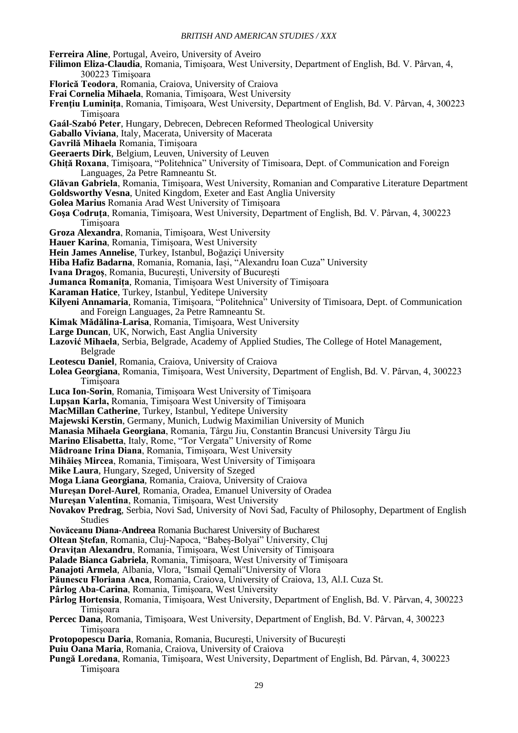**Ferreira Aline**, Portugal, Aveiro, University of Aveiro

- **Filimon Eliza-Claudia**, Romania, Timişoara, West University, Department of English, Bd. V. Pârvan, 4, 300223 Timişoara
- **Florică Teodora**, Romania, Craiova, University of Craiova
- **Frai Cornelia Mihaela**, Romania, Timişoara, West University
- **Frenţiu Luminiţa**, Romania, Timişoara, West University, Department of English, Bd. V. Pârvan, 4, 300223 Timişoara
- **Gaál-Szabó Peter**, Hungary, Debrecen, Debrecen Reformed Theological University

**Gaballo Viviana**, Italy, Macerata, University of Macerata

- **Gavrilă Mihaela** Romania, Timișoara
- **Geeraerts Dirk**, Belgium, Leuven, University of Leuven
- **Ghită Roxana, Timisoara, "Politehnica" University of Timisoara, Dept. of Communication and Foreign** Languages, 2a Petre Ramneantu St.
- **Glăvan Gabriela**, Romania, Timişoara, West University, Romanian and Comparative Literature Department **Goldsworthy Vesna**, United Kingdom, Exeter and East Anglia University
- **Golea Marius** Romania Arad West University of Timișoara
- **Goşa Codruţa**, Romania, Timişoara, West University, Department of English, Bd. V. Pârvan, 4, 300223 Timişoara
- **Groza Alexandra**, Romania, Timişoara, West University
- **Hauer Karina**, Romania, Timișoara, West University
- **Hein James Annelise**, Turkey, Istanbul, Boğaziçi University
- Hiba Hafiz Badarna, Romania, Romania, Iași, "Alexandru Ioan Cuza" University
- **Ivana Dragoș**, Romania, București, University of București
- **Jumanca Romanița**, Romania, Timișoara West University of Timișoara
- **Karaman Hatice**, Turkey, Istanbul, Yeditepe University
- **Kilyeni Annamaria**, Romania, Timișoara, "Politehnica" University of Timișoara, Dept. of Communication and Foreign Languages, 2a Petre Ramneantu St.
- **Kimak Mădălina-Larisa**, Romania, Timişoara, West University
- **Large Duncan**, UK, Norwich, East Anglia University
- **Lazović Mihaela**, Serbia, Belgrade, Academy of Applied Studies, The College of Hotel Management, Belgrade
- **Leotescu Daniel**, Romania, Craiova, University of Craiova
- **Lolea Georgiana**, Romania, Timişoara, West University, Department of English, Bd. V. Pârvan, 4, 300223 Timişoara
- **Luca Ion-Sorin**, Romania, Timișoara West University of Timișoara
- **Lupșan Karla,** Romania, Timișoara West University of Timișoara
- **MacMillan Catherine**, Turkey, Istanbul, Yeditepe University
- **Majewski Kerstin**, Germany, Munich, Ludwig Maximilian University of Munich
- **Manasia Mihaela Georgiana**, Romania, Târgu Jiu, Constantin Brancusi University Târgu Jiu
- **Marino Elisabetta**, Italy, Rome, "Tor Vergata" University of Rome
- **Mădroane Irina Diana**, Romania, Timișoara, West University
- **Mihăieș Mircea**, Romania, Timișoara, West University of Timișoara
- **Mike Laura**, Hungary, Szeged, University of Szeged
- **Moga Liana Georgiana**, Romania, Craiova, University of Craiova
- **Mureșan Dorel-Aurel**, Romania, Oradea, Emanuel University of Oradea
- **Mureșan Valentina**, Romania, Timişoara, West University
- **Novakov Predrag**, Serbia, Novi Sad, University of Novi Sad, Faculty of Philosophy, Department of English Studies
- **Novăceanu Diana-Andreea** Romania Bucharest University of Bucharest
- **Oltean Stefan, Romania, Cluj-Napoca, "Babes-Bolyai" University, Cluj**
- **Oravițan Alexandru**, Romania, Timișoara, West University of Timișoara
- **Palade Bianca Gabriela**, Romania, Timișoara, West University of Timișoara
- **Panajoti Armela**, Albania, Vlora, "Ismail Qemali"University of Vlora

**Păunescu Floriana Anca**, Romania, Craiova, University of Craiova, 13, Al.I. Cuza St.

- **Pârlog Aba-Carina**, Romania, Timişoara, West University
- **Pârlog Hortensia**, Romania, Timişoara, West University, Department of English, Bd. V. Pârvan, 4, 300223 Timişoara
- **Percec Dana**, Romania, Timişoara, West University, Department of English, Bd. V. Pârvan, 4, 300223 Timişoara
- **Protopopescu Daria**, Romania, Romania, București, University of București
- **Puiu Oana Maria**, Romania, Craiova, University of Craiova
- **Pungă Loredana**, Romania, Timişoara, West University, Department of English, Bd. Pârvan, 4, 300223 Timişoara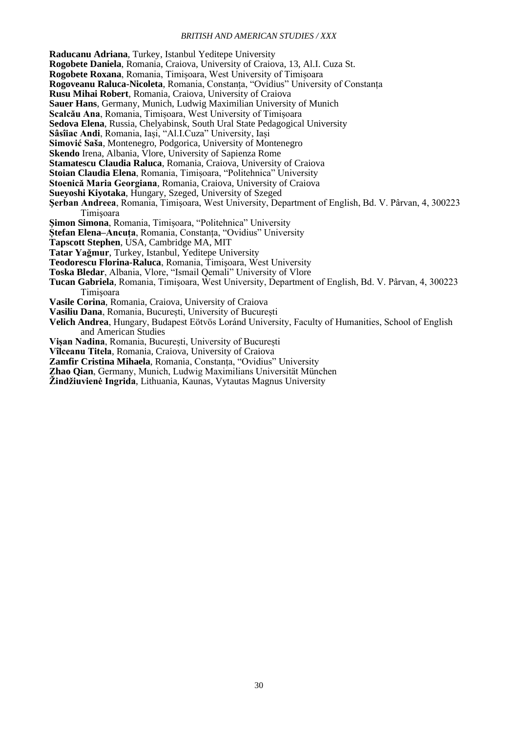**Raducanu Adriana**, Turkey, Istanbul Yeditepe University

**Rogobete Daniela**, Romania, Craiova, University of Craiova, 13, Al.I. Cuza St.

**Rogobete Roxana**, Romania, Timișoara, West University of Timișoara

**Rogoveanu Raluca-Nicoleta**, Romania, Constanța, "Ovidius" University of Constanța

**Rusu Mihai Robert**, Romania, Craiova, University of Craiova

**Sauer Hans**, Germany, Munich, Ludwig Maximilian University of Munich

**Scalcău Ana**, Romania, Timișoara, West University of Timișoara

**Sedova Elena**, Russia, Chelyabinsk, South Ural State Pedagogical University

- **Sâsîiac Andi**, Romania, Iași, "Al.I.Cuza" University, Iași
- **Simović Saša**, Montenegro, Podgorica, University of Montenegro
- **Skendo** Irena, Albania, Vlore, University of Sapienza Rome
- **Stamatescu Claudia Raluca**, Romania, Craiova, University of Craiova
- **Stoian Claudia Elena**, Romania, Timișoara, "Politehnica" University
- **Stoenică Maria Georgiana**, Romania, Craiova, University of Craiova
- **Sueyoshi Kiyotaka**, Hungary, Szeged, University of Szeged
- **Şerban Andreea**, Romania, Timişoara, West University, Department of English, Bd. V. Pârvan, 4, 300223 Timişoara
- **Şimon Simona**, Romania, Timișoara, "Politehnica" University
- **Ștefan Elena–Ancuța**, Romania, Constanta, "Ovidius" University
- **Tapscott Stephen**, USA, Cambridge MA, MIT
- **Tatar Yağmur**, Turkey, Istanbul, Yeditepe University
- **Teodorescu Florina-Raluca**, Romania, Timişoara, West University
- Toska Bledar, Albania, Vlore, "Ismail Qemali" University of Vlore
- **Tucan Gabriela**, Romania, Timişoara, West University, Department of English, Bd. V. Pârvan, 4, 300223 Timişoara
- **Vasile Corina**, Romania, Craiova, University of Craiova
- **Vasiliu Dana**, Romania, București, University of București
- **Velich Andrea**, Hungary, Budapest Eötvös Loránd University, Faculty of Humanities, School of English and American Studies
- **Vișan Nadina**, Romania, București, University of București
- **Vîlceanu Titela**, Romania, Craiova, University of Craiova
- **Zamfir Cristina Mihaela**, Romania, Constanța, "Ovidius" University
- **Zhao Qian**, Germany, Munich, Ludwig Maximilians Universität München

**Žindžiuvienė Ingrida**, Lithuania, Kaunas, Vytautas Magnus University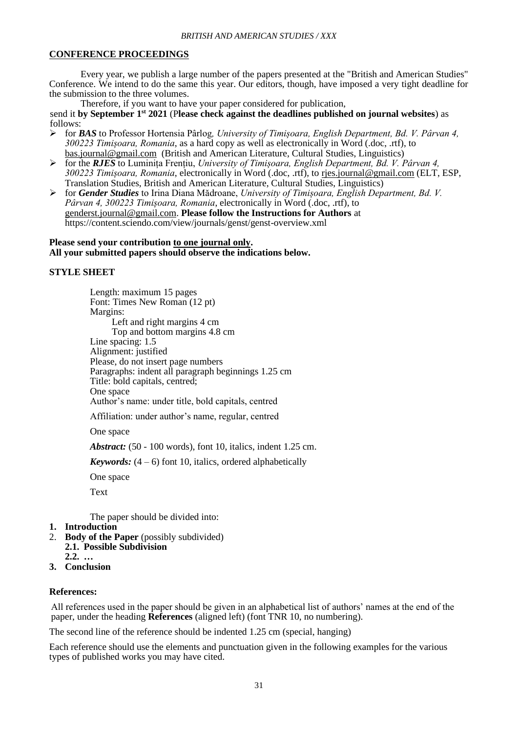## **CONFERENCE PROCEEDINGS**

Every year, we publish a large number of the papers presented at the "British and American Studies" Conference. We intend to do the same this year. Our editors, though, have imposed a very tight deadline for the submission to the three volumes.

Therefore, if you want to have your paper considered for publication,

send it **by September 1st 2021** (P**lease check against the deadlines published on journal websites**) as follows:

- ➢ for *BAS* to Professor Hortensia Pârlog*, University of Timișoara, English Department, Bd. V. Pârvan 4, 300223 Timișoara, Romania*, as a hard copy as well as electronically in Word (.doc, .rtf), to [bas.journal@gmail.com](mailto:bas.journal@gmail.com) (British and American Literature, Cultural Studies, Linguistics)
- ➢ for the *RJES* to Luminița Frențiu, *University of Timișoara, English Department, Bd. V. Pârvan 4, 300223 Timișoara, Romania*, electronically in Word (.doc, .rtf), to [rjes.journal@gmail.com](mailto:rjes.journal@gmail.com) (ELT, ESP, Translation Studies, British and American Literature, Cultural Studies, Linguistics)
- ➢ for *Gender Studies* to Irina Diana Mădroane, *University of Timișoara, English Department, Bd. V. Pârvan 4, 300223 Timișoara, Romania*, electronically in Word (.doc, .rtf), to [genderst.journal@gmail.com.](mailto:genderst.journal@gmail.com) **Please follow the Instructions for Authors** at https://content.sciendo.com/view/journals/genst/genst-overview.xml

#### **Please send your contribution to one journal only. All your submitted papers should observe the indications below.**

### **STYLE SHEET**

Length: maximum 15 pages Font: Times New Roman (12 pt) Margins: Left and right margins 4 cm Top and bottom margins 4.8 cm Line spacing: 1.5 Alignment: justified Please, do not insert page numbers Paragraphs: indent all paragraph beginnings 1.25 cm Title: bold capitals, centred; One space Author's name: under title, bold capitals, centred

Affiliation: under author's name, regular, centred

One space

*Abstract:* (50 - 100 words), font 10, italics, indent 1.25 cm.

*Keywords:*  $(4 - 6)$  font 10, italics, ordered alphabetically

One space

Text

The paper should be divided into:

- **1. Introduction**
- 2. **Body of the Paper** (possibly subdivided) **2.1. Possible Subdivision**
	- **2.2. …**
- **3. Conclusion**

## **References:**

All references used in the paper should be given in an alphabetical list of authors' names at the end of the paper, under the heading **References** (aligned left) (font TNR 10, no numbering).

The second line of the reference should be indented 1.25 cm (special, hanging)

Each reference should use the elements and punctuation given in the following examples for the various types of published works you may have cited.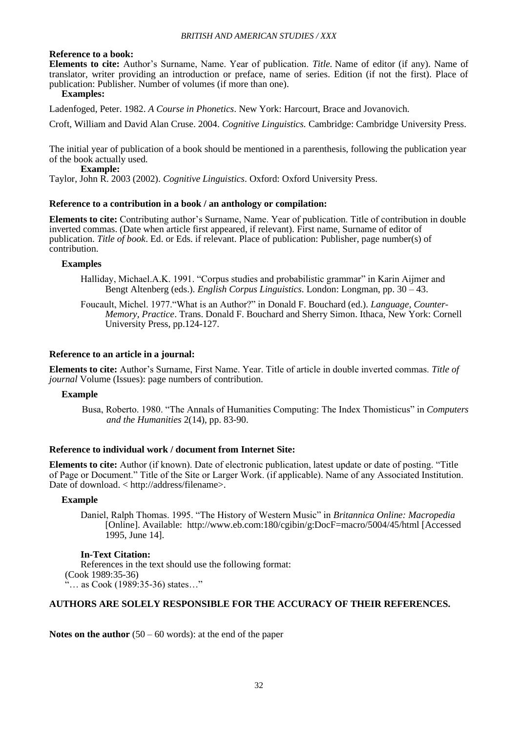#### **Reference to a book:**

**Elements to cite:** Author's Surname, Name. Year of publication. *Title.* Name of editor (if any). Name of translator, writer providing an introduction or preface, name of series. Edition (if not the first). Place of publication: Publisher. Number of volumes (if more than one).

## **Examples:**

Ladenfoged, Peter. 1982. *A Course in Phonetics*. New York: Harcourt, Brace and Jovanovich.

Croft, William and David Alan Cruse. 2004. *Cognitive Linguistics.* Cambridge: Cambridge University Press.

The initial year of publication of a book should be mentioned in a parenthesis, following the publication year of the book actually used.

 **Example:**

Taylor, John R. 2003 (2002). *Cognitive Linguistics*. Oxford: Oxford University Press.

#### **Reference to a contribution in a book / an anthology or compilation:**

**Elements to cite:** Contributing author's Surname, Name. Year of publication. Title of contribution in double inverted commas. (Date when article first appeared, if relevant). First name, Surname of editor of publication. *Title of book*. Ed. or Eds. if relevant. Place of publication: Publisher, page number(s) of contribution.

#### **Examples**

- Halliday, Michael.A.K. 1991. "Corpus studies and probabilistic grammar" in Karin Aijmer and Bengt Altenberg (eds.). *English Corpus Linguistics*. London: Longman, pp. 30 – 43.
- Foucault, Michel. 1977."What is an Author?" in Donald F. Bouchard (ed.). *Language, Counter-Memory, Practice*. Trans. Donald F. Bouchard and Sherry Simon. Ithaca, New York: Cornell University Press, pp.124-127.

#### **Reference to an article in a journal:**

**Elements to cite:** Author's Surname, First Name. Year. Title of article in double inverted commas. *Title of journal* Volume (Issues): page numbers of contribution.

#### **Example**

Busa, Roberto. 1980. "The Annals of Humanities Computing: The Index Thomisticus" in *Computers and the Humanities* 2(14), pp. 83-90.

#### **Reference to individual work / document from Internet Site:**

**Elements to cite:** Author (if known). Date of electronic publication, latest update or date of posting. "Title of Page or Document." Title of the Site or Larger Work. (if applicable). Name of any Associated Institution. Date of download. < http://address/filename>.

#### **Example**

Daniel, Ralph Thomas. 1995. "The History of Western Music" in *Britannica Online: Macropedia* [Online]. Available: http://www.eb.com:180/cgibin/g:DocF=macro/5004/45/html [Accessed 1995, June 14].

## **In-Text Citation:**

References in the text should use the following format: (Cook 1989:35-36) "… as Cook (1989:35-36) states…"

## **AUTHORS ARE SOLELY RESPONSIBLE FOR THE ACCURACY OF THEIR REFERENCES.**

**Notes on the author** (50 – 60 words): at the end of the paper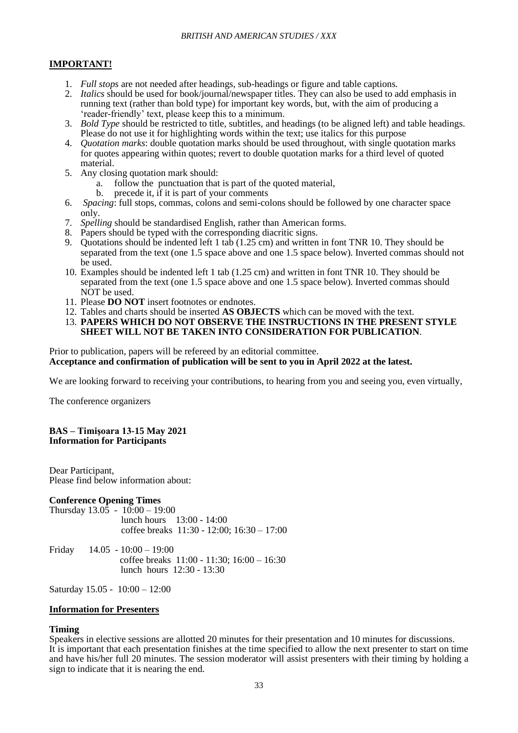## **IMPORTANT!**

- 1. *Full stops* are not needed after headings, sub-headings or figure and table captions.
- 2. *Italics* should be used for book/journal/newspaper titles. They can also be used to add emphasis in running text (rather than bold type) for important key words, but, with the aim of producing a 'reader-friendly' text, please keep this to a minimum.
- 3. *Bold Type* should be restricted to title, subtitles, and headings (to be aligned left) and table headings. Please do not use it for highlighting words within the text; use italics for this purpose
- 4. *Quotation marks*: double quotation marks should be used throughout, with single quotation marks for quotes appearing within quotes; revert to double quotation marks for a third level of quoted material.
- 5. Any closing quotation mark should:
	- a. follow the punctuation that is part of the quoted material,
	- b. precede it, if it is part of your comments
- 6. *Spacing*: full stops, commas, colons and semi-colons should be followed by one character space only.
- 7. *Spelling* should be standardised English, rather than American forms.
- 8. Papers should be typed with the corresponding diacritic signs.
- 9. Quotations should be indented left 1 tab (1.25 cm) and written in font TNR 10. They should be separated from the text (one 1.5 space above and one 1.5 space below). Inverted commas should not be used.
- 10. Examples should be indented left 1 tab (1.25 cm) and written in font TNR 10. They should be separated from the text (one 1.5 space above and one 1.5 space below). Inverted commas should NOT be used.
- 11. Please **DO NOT** insert footnotes or endnotes.
- 12. Tables and charts should be inserted **AS OBJECTS** which can be moved with the text.
- 13. **PAPERS WHICH DO NOT OBSERVE THE INSTRUCTIONS IN THE PRESENT STYLE SHEET WILL NOT BE TAKEN INTO CONSIDERATION FOR PUBLICATION**.

Prior to publication, papers will be refereed by an editorial committee.

**Acceptance and confirmation of publication will be sent to you in April 2022 at the latest.**

We are looking forward to receiving your contributions, to hearing from you and seeing you, even virtually,

The conference organizers

#### **BAS – Timişoara 13-15 May 2021 Information for Participants**

Dear Participant, Please find below information about:

## **Conference Opening Times**

Thursday  $13.0\overline{5} - 10.00 - 19.00$  lunch hours 13:00 - 14:00 coffee breaks 11:30 - 12:00; 16:30 – 17:00

Friday 14.05 - 10:00 – 19:00 coffee breaks 11:00 - 11:30; 16:00 – 16:30 lunch hours 12:30 - 13:30

Saturday 15.05 - 10:00 – 12:00

#### **Information for Presenters**

## **Timing**

Speakers in elective sessions are allotted 20 minutes for their presentation and 10 minutes for discussions. It is important that each presentation finishes at the time specified to allow the next presenter to start on time and have his/her full 20 minutes. The session moderator will assist presenters with their timing by holding a sign to indicate that it is nearing the end.